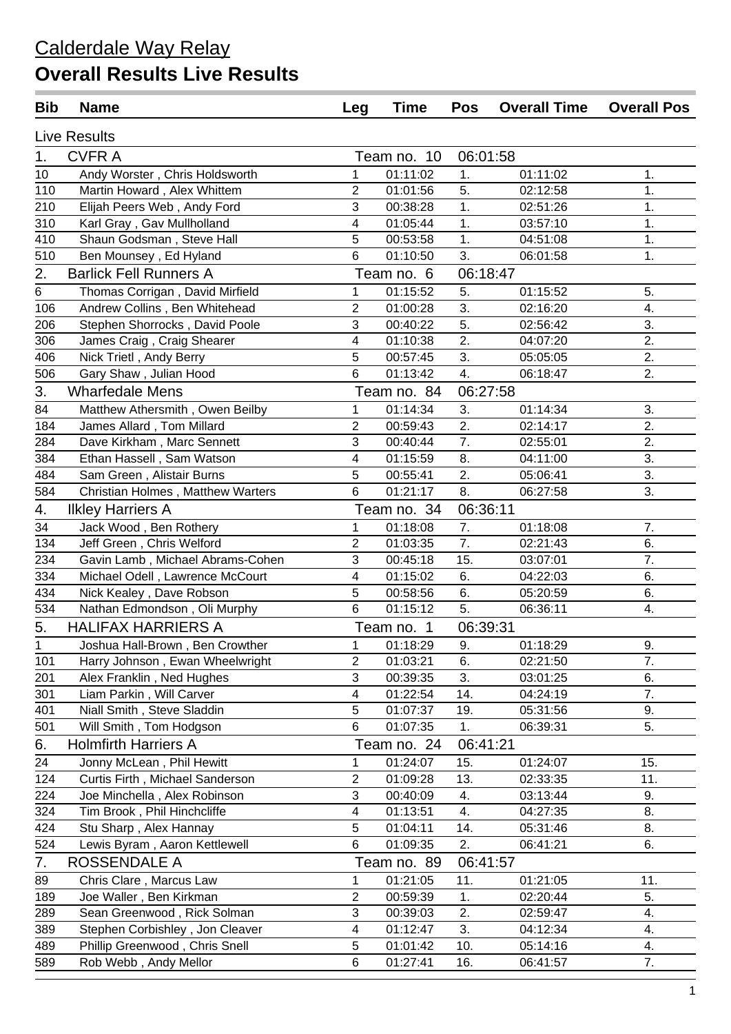| <b>Bib</b>       | <b>Name</b>                       | Leg                     | <b>Time</b> | <b>Pos</b> | <b>Overall Time</b> | <b>Overall Pos</b> |
|------------------|-----------------------------------|-------------------------|-------------|------------|---------------------|--------------------|
|                  | <b>Live Results</b>               |                         |             |            |                     |                    |
| 1.               | <b>CVFRA</b>                      |                         | Team no. 10 | 06:01:58   |                     |                    |
| 10               | Andy Worster, Chris Holdsworth    | 1                       | 01:11:02    | 1.         | 01:11:02            | 1.                 |
| 110              | Martin Howard, Alex Whittem       | $\overline{2}$          | 01:01:56    | 5.         | 02:12:58            | 1.                 |
| 210              | Elijah Peers Web, Andy Ford       | 3                       | 00:38:28    | 1.         | 02:51:26            | 1.                 |
| 310              | Karl Gray, Gav Mullholland        | $\overline{4}$          | 01:05:44    | 1.         | 03:57:10            | 1.                 |
| 410              | Shaun Godsman, Steve Hall         | 5                       | 00:53:58    | 1.         | 04:51:08            | 1.                 |
| 510              | Ben Mounsey, Ed Hyland            | 6                       | 01:10:50    | 3.         | 06:01:58            | 1.                 |
| $\overline{2}$ . | <b>Barlick Fell Runners A</b>     |                         | Team no. 6  | 06:18:47   |                     |                    |
| 6                | Thomas Corrigan, David Mirfield   | 1                       | 01:15:52    | 5.         | 01:15:52            | 5.                 |
| 106              | Andrew Collins, Ben Whitehead     | $\overline{2}$          | 01:00:28    | 3.         | 02:16:20            | 4.                 |
| 206              | Stephen Shorrocks, David Poole    | 3                       | 00:40:22    | 5.         | 02:56:42            | 3.                 |
| 306              | James Craig, Craig Shearer        | $\overline{\mathbf{4}}$ | 01:10:38    | 2.         | 04:07:20            | 2.                 |
| 406              | Nick Trietl, Andy Berry           | 5                       | 00:57:45    | 3.         | 05:05:05            | 2.                 |
| 506              | Gary Shaw, Julian Hood            | 6                       | 01:13:42    | 4.         | 06:18:47            | 2.                 |
| 3.               | <b>Wharfedale Mens</b>            |                         | Team no. 84 | 06:27:58   |                     |                    |
| 84               | Matthew Athersmith, Owen Beilby   | 1                       | 01:14:34    | 3.         | 01:14:34            | 3.                 |
| 184              | James Allard, Tom Millard         | $\overline{2}$          | 00:59:43    | 2.         | 02:14:17            | 2.                 |
| 284              | Dave Kirkham, Marc Sennett        | 3                       | 00:40:44    | 7.         | 02:55:01            | 2.                 |
| 384              | Ethan Hassell, Sam Watson         | $\overline{\mathbf{4}}$ | 01:15:59    | 8.         | 04:11:00            | 3.                 |
| 484              | Sam Green, Alistair Burns         | 5                       | 00:55:41    | 2.         | 05:06:41            | 3.                 |
| 584              | Christian Holmes, Matthew Warters | 6                       | 01:21:17    | 8.         | 06:27:58            | 3.                 |
| 4.               | <b>Ilkley Harriers A</b>          |                         | Team no. 34 | 06:36:11   |                     |                    |
| 34               | Jack Wood, Ben Rothery            | 1                       | 01:18:08    | 7.         | 01:18:08            | 7.                 |
| 134              | Jeff Green, Chris Welford         | $\boldsymbol{2}$        | 01:03:35    | 7.         | 02:21:43            | 6.                 |
| 234              | Gavin Lamb, Michael Abrams-Cohen  | 3                       | 00:45:18    | 15.        | 03:07:01            | 7.                 |
| 334              | Michael Odell, Lawrence McCourt   | $\overline{\mathbf{4}}$ | 01:15:02    | 6.         | 04:22:03            | 6.                 |
| 434              | Nick Kealey, Dave Robson          | $\overline{5}$          | 00:58:56    | 6.         | 05:20:59            | 6.                 |
| 534              | Nathan Edmondson, Oli Murphy      | 6                       | 01:15:12    | 5.         | 06:36:11            | 4.                 |
| 5.               | <b>HALIFAX HARRIERS A</b>         |                         | Team no. 1  | 06:39:31   |                     |                    |
| 1                | Joshua Hall-Brown, Ben Crowther   | 1                       | 01:18:29    | 9.         | 01:18:29            | 9.                 |
| 101              | Harry Johnson, Ewan Wheelwright   | $\mathbf{2}$            | 01:03:21    | 6.         | 02:21:50            | 7.                 |
| 201              | Alex Franklin, Ned Hughes         | 3                       | 00:39:35    | 3.         | 03:01:25            | 6.                 |
| 301              | Liam Parkin, Will Carver          | $\overline{\mathbf{4}}$ | 01:22:54    | 14.        | 04:24:19            | 7.                 |
| 401              | Niall Smith, Steve Sladdin        | 5                       | 01:07:37    | 19.        | 05:31:56            | 9.                 |
| 501              | Will Smith, Tom Hodgson           | $\,6$                   | 01:07:35    | 1.         | 06:39:31            | $\overline{5}$ .   |
| 6.               | <b>Holmfirth Harriers A</b>       |                         | Team no. 24 | 06:41:21   |                     |                    |
| 24               | Jonny McLean, Phil Hewitt         | 1                       | 01:24:07    | 15.        | 01:24:07            | 15.                |
| 124              | Curtis Firth, Michael Sanderson   | $\boldsymbol{2}$        | 01:09:28    | 13.        | 02:33:35            | 11.                |
| 224              | Joe Minchella, Alex Robinson      | 3                       | 00:40:09    | 4.         | 03:13:44            | 9.                 |
| 324              | Tim Brook, Phil Hinchcliffe       | 4                       | 01:13:51    | 4.         | 04:27:35            | 8.                 |
| 424              | Stu Sharp, Alex Hannay            | $\overline{5}$          | 01:04:11    | 14.        | 05:31:46            | 8.                 |
| 524              | Lewis Byram, Aaron Kettlewell     | $\,6$                   | 01:09:35    | 2.         | 06:41:21            | 6.                 |
| 7.               | ROSSENDALE A                      |                         | Team no. 89 | 06:41:57   |                     |                    |
| 89               | Chris Clare, Marcus Law           | 1                       | 01:21:05    | 11.        | 01:21:05            | 11.                |
| 189              | Joe Waller, Ben Kirkman           | $\boldsymbol{2}$        | 00:59:39    | 1.         | 02:20:44            | 5.                 |
| 289              | Sean Greenwood, Rick Solman       | 3                       | 00:39:03    | 2.         | 02:59:47            | 4.                 |
| 389              | Stephen Corbishley, Jon Cleaver   | $\overline{\mathbf{4}}$ | 01:12:47    | 3.         | 04:12:34            | 4.                 |
| 489              | Phillip Greenwood, Chris Snell    | $\sqrt{5}$              | 01:01:42    | 10.        | 05:14:16            | 4.                 |
| 589              | Rob Webb, Andy Mellor             | $\,6$                   | 01:27:41    | 16.        | 06:41:57            | 7.                 |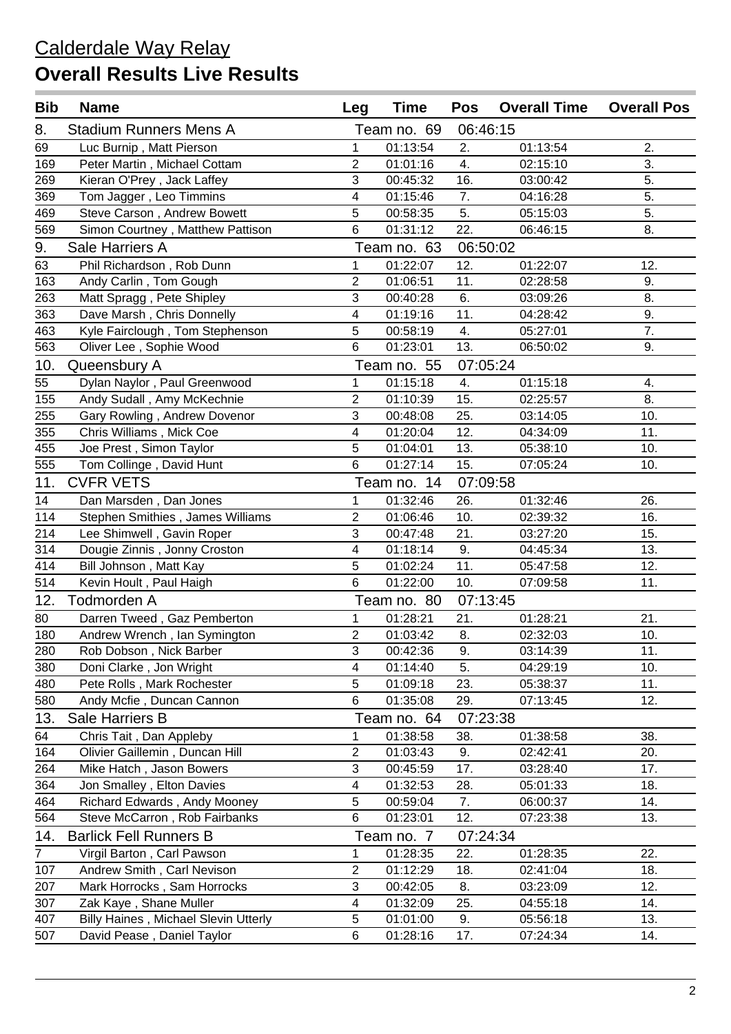| <b>Bib</b>     | <b>Name</b>                                 | Leg                     | <b>Time</b> | <b>Pos</b> | <b>Overall Time</b> | <b>Overall Pos</b> |
|----------------|---------------------------------------------|-------------------------|-------------|------------|---------------------|--------------------|
| 8.             | <b>Stadium Runners Mens A</b>               |                         | Team no. 69 | 06:46:15   |                     |                    |
| 69             | Luc Burnip, Matt Pierson                    | $\mathbf{1}$            | 01:13:54    | 2.         | 01:13:54            | 2.                 |
| 169            | Peter Martin, Michael Cottam                | $\overline{2}$          | 01:01:16    | 4.         | 02:15:10            | 3.                 |
| 269            | Kieran O'Prey, Jack Laffey                  | 3                       | 00:45:32    | 16.        | 03:00:42            | 5.                 |
| 369            | Tom Jagger, Leo Timmins                     | 4                       | 01:15:46    | 7.         | 04:16:28            | 5.                 |
| 469            | Steve Carson, Andrew Bowett                 | 5                       | 00:58:35    | 5.         | 05:15:03            | 5.                 |
| 569            | Simon Courtney, Matthew Pattison            | 6                       | 01:31:12    | 22.        | 06:46:15            | 8.                 |
| 9.             | Sale Harriers A                             |                         | Team no. 63 | 06:50:02   |                     |                    |
| 63             | Phil Richardson, Rob Dunn                   | $\mathbf{1}$            | 01:22:07    | 12.        | 01:22:07            | 12.                |
| 163            | Andy Carlin, Tom Gough                      | $\overline{2}$          | 01:06:51    | 11.        | 02:28:58            | 9.                 |
| 263            | Matt Spragg, Pete Shipley                   | 3                       | 00:40:28    | 6.         | 03:09:26            | 8.                 |
| 363            | Dave Marsh, Chris Donnelly                  | 4                       | 01:19:16    | 11.        | 04:28:42            | 9.                 |
| 463            | Kyle Fairclough, Tom Stephenson             | 5                       | 00:58:19    | 4.         | 05:27:01            | 7.                 |
| 563            | Oliver Lee, Sophie Wood                     | 6                       | 01:23:01    | 13.        | 06:50:02            | 9.                 |
| 10.            | Queensbury A                                |                         | Team no. 55 | 07:05:24   |                     |                    |
| 55             | Dylan Naylor, Paul Greenwood                | 1                       | 01:15:18    | 4.         | 01:15:18            | 4.                 |
| 155            | Andy Sudall, Amy McKechnie                  | $\sqrt{2}$              | 01:10:39    | 15.        | 02:25:57            | 8.                 |
| 255            | Gary Rowling, Andrew Dovenor                | 3                       | 00:48:08    | 25.        | 03:14:05            | 10.                |
| 355            | Chris Williams, Mick Coe                    | $\overline{4}$          | 01:20:04    | 12.        | 04:34:09            | 11.                |
| 455            | Joe Prest, Simon Taylor                     | 5                       | 01:04:01    | 13.        | 05:38:10            | 10.                |
| 555            | Tom Collinge, David Hunt                    | 6                       | 01:27:14    | 15.        | 07:05:24            | 10.                |
| 11.            | <b>CVFR VETS</b>                            |                         | Team no. 14 | 07:09:58   |                     |                    |
| 14             | Dan Marsden, Dan Jones                      | 1                       | 01:32:46    | 26.        | 01:32:46            | 26.                |
| 114            | Stephen Smithies, James Williams            | $\overline{2}$          | 01:06:46    | 10.        | 02:39:32            | 16.                |
| 214            | Lee Shimwell, Gavin Roper                   | 3                       | 00:47:48    | 21.        | 03:27:20            | 15.                |
| 314            | Dougie Zinnis, Jonny Croston                | $\overline{4}$          | 01:18:14    | 9.         | 04:45:34            | 13.                |
| 414            | Bill Johnson, Matt Kay                      | 5                       | 01:02:24    | 11.        | 05:47:58            | 12.                |
| 514            | Kevin Hoult, Paul Haigh                     | 6                       | 01:22:00    | 10.        | 07:09:58            | 11.                |
| 12.            | <b>Todmorden A</b>                          |                         | Team no. 80 | 07:13:45   |                     |                    |
| 80             | Darren Tweed, Gaz Pemberton                 | $\mathbf{1}$            | 01:28:21    | 21.        | 01:28:21            | 21.                |
| 180            | Andrew Wrench, Ian Symington                | $\overline{2}$          | 01:03:42    | 8.         | 02:32:03            | 10.                |
| 280            | Rob Dobson, Nick Barber                     | 3                       | 00:42:36    | 9.         | 03:14:39            | 11.                |
| 380            | Doni Clarke, Jon Wright                     | $\overline{\mathbf{4}}$ | 01:14:40    | 5.         | 04:29:19            | 10.                |
| 480            | Pete Rolls, Mark Rochester                  | $\,$ 5 $\,$             | 01:09:18    | 23.        | 05:38:37            | 11.                |
| 580            | Andy Mcfie, Duncan Cannon                   | $6\phantom{1}$          | 01:35:08    | 29.        | 07:13:45            | 12.                |
| 13.            | Sale Harriers B                             |                         | Team no. 64 | 07:23:38   |                     |                    |
| 64             | Chris Tait, Dan Appleby                     | 1                       | 01:38:58    | 38.        | 01:38:58            | 38.                |
| 164            | Olivier Gaillemin, Duncan Hill              | $\sqrt{2}$              | 01:03:43    | 9.         | 02:42:41            | 20.                |
| 264            | Mike Hatch, Jason Bowers                    | $\sqrt{3}$              | 00:45:59    | 17.        | 03:28:40            | 17.                |
| 364            | Jon Smalley, Elton Davies                   | 4                       | 01:32:53    | 28.        | 05:01:33            | 18.                |
| 464            | Richard Edwards, Andy Mooney                | $\sqrt{5}$              | 00:59:04    | 7.         | 06:00:37            | 14.                |
| 564            | Steve McCarron, Rob Fairbanks               | 6                       | 01:23:01    | 12.        | 07:23:38            | 13.                |
| 14.            | <b>Barlick Fell Runners B</b>               |                         | Team no. 7  | 07:24:34   |                     |                    |
| $\overline{7}$ | Virgil Barton, Carl Pawson                  | 1                       | 01:28:35    | 22.        | 01:28:35            | 22.                |
| 107            | Andrew Smith, Carl Nevison                  | 2                       | 01:12:29    | 18.        | 02:41:04            | 18.                |
| 207            | Mark Horrocks, Sam Horrocks                 | $\sqrt{3}$              | 00:42:05    | 8.         | 03:23:09            | 12.                |
| 307            | Zak Kaye, Shane Muller                      | $\overline{\mathbf{4}}$ | 01:32:09    | 25.        | 04:55:18            | 14.                |
| 407            | <b>Billy Haines, Michael Slevin Utterly</b> | $\sqrt{5}$              | 01:01:00    | 9.         | 05:56:18            | 13.                |
| 507            | David Pease, Daniel Taylor                  | $\,6$                   | 01:28:16    | 17.        | 07:24:34            | 14.                |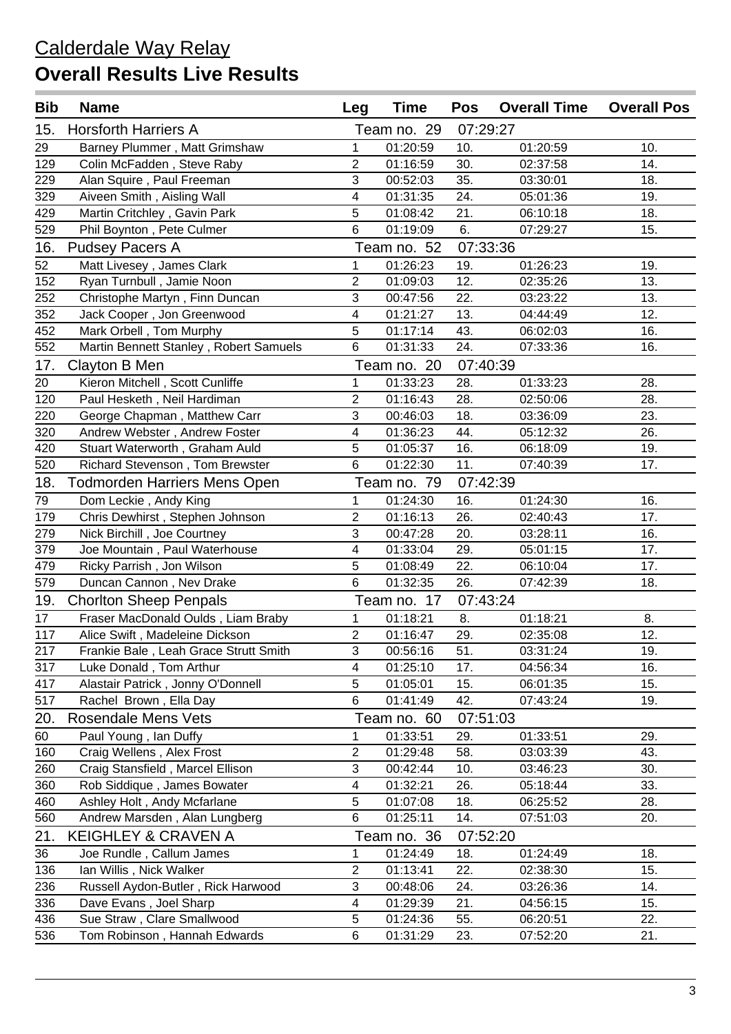| <b>Bib</b> | <b>Name</b>                            | Leg                       | <b>Time</b> | Pos      | <b>Overall Time</b> | <b>Overall Pos</b> |
|------------|----------------------------------------|---------------------------|-------------|----------|---------------------|--------------------|
| 15.        | <b>Horsforth Harriers A</b>            |                           | Team no. 29 | 07:29:27 |                     |                    |
| 29         | Barney Plummer, Matt Grimshaw          | 1                         | 01:20:59    | 10.      | 01:20:59            | 10.                |
| 129        | Colin McFadden, Steve Raby             | $\overline{2}$            | 01:16:59    | 30.      | 02:37:58            | 14.                |
| 229        | Alan Squire, Paul Freeman              | 3                         | 00:52:03    | 35.      | 03:30:01            | 18.                |
| 329        | Aiveen Smith, Aisling Wall             | 4                         | 01:31:35    | 24.      | 05:01:36            | 19.                |
| 429        | Martin Critchley, Gavin Park           | 5                         | 01:08:42    | 21.      | 06:10:18            | 18.                |
| 529        | Phil Boynton, Pete Culmer              | $6\phantom{1}$            | 01:19:09    | 6.       | 07:29:27            | 15.                |
| 16.        | <b>Pudsey Pacers A</b>                 |                           | Team no. 52 | 07:33:36 |                     |                    |
| 52         | Matt Livesey, James Clark              | 1                         | 01:26:23    | 19.      | 01:26:23            | 19.                |
| 152        | Ryan Turnbull, Jamie Noon              | $\overline{2}$            | 01:09:03    | 12.      | 02:35:26            | 13.                |
| 252        | Christophe Martyn, Finn Duncan         | 3                         | 00:47:56    | 22.      | 03:23:22            | 13.                |
| 352        | Jack Cooper, Jon Greenwood             | 4                         | 01:21:27    | 13.      | 04:44:49            | 12.                |
| 452        | Mark Orbell, Tom Murphy                | 5                         | 01:17:14    | 43.      | 06:02:03            | 16.                |
| 552        | Martin Bennett Stanley, Robert Samuels | $6\phantom{1}$            | 01:31:33    | 24.      | 07:33:36            | 16.                |
| 17.        | Clayton B Men                          |                           | Team no. 20 | 07:40:39 |                     |                    |
| 20         | Kieron Mitchell, Scott Cunliffe        | 1                         | 01:33:23    | 28.      | 01:33:23            | 28.                |
| 120        | Paul Hesketh, Neil Hardiman            | $\overline{2}$            | 01:16:43    | 28.      | 02:50:06            | 28.                |
| 220        | George Chapman, Matthew Carr           | 3                         | 00:46:03    | 18.      | 03:36:09            | 23.                |
| 320        | Andrew Webster, Andrew Foster          | 4                         | 01:36:23    | 44.      | 05:12:32            | 26.                |
| 420        | Stuart Waterworth, Graham Auld         | 5                         | 01:05:37    | 16.      | 06:18:09            | 19.                |
| 520        | Richard Stevenson, Tom Brewster        | $6\phantom{1}$            | 01:22:30    | 11.      | 07:40:39            | 17.                |
| 18.        | <b>Todmorden Harriers Mens Open</b>    |                           | Team no. 79 | 07:42:39 |                     |                    |
| 79         | Dom Leckie, Andy King                  | $\mathbf{1}$              | 01:24:30    | 16.      | 01:24:30            | 16.                |
| 179        | Chris Dewhirst, Stephen Johnson        | $\overline{2}$            | 01:16:13    | 26.      | 02:40:43            | 17.                |
| 279        | Nick Birchill, Joe Courtney            | 3                         | 00:47:28    | 20.      | 03:28:11            | 16.                |
| 379        | Joe Mountain, Paul Waterhouse          | 4                         | 01:33:04    | 29.      | 05:01:15            | 17.                |
| 479        | Ricky Parrish, Jon Wilson              | 5                         | 01:08:49    | 22.      | 06:10:04            | 17.                |
| 579        | Duncan Cannon, Nev Drake               | 6                         | 01:32:35    | 26.      | 07:42:39            | 18.                |
| 19.        | <b>Chorlton Sheep Penpals</b>          |                           | Team no. 17 | 07:43:24 |                     |                    |
| 17         | Fraser MacDonald Oulds, Liam Braby     | $\mathbf{1}$              | 01:18:21    | 8.       | 01:18:21            | 8.                 |
| 117        | Alice Swift, Madeleine Dickson         | $\overline{2}$            | 01:16:47    | 29.      | 02:35:08            | 12.                |
| 217        | Frankie Bale, Leah Grace Strutt Smith  | $\ensuremath{\mathsf{3}}$ | 00:56:16    | 51.      | 03:31:24            | 19.                |
| 317        | Luke Donald, Tom Arthur                | $\overline{4}$            | 01:25:10    | 17.      | 04:56:34            | 16.                |
| 417        | Alastair Patrick, Jonny O'Donnell      | 5                         | 01:05:01    | 15.      | 06:01:35            | 15.                |
| 517        | Rachel Brown, Ella Day                 | 6                         | 01:41:49    | 42.      | 07:43:24            | 19.                |
| 20.        | Rosendale Mens Vets                    |                           | Team no. 60 | 07:51:03 |                     |                    |
| 60         | Paul Young, Ian Duffy                  | 1                         | 01:33:51    | 29.      | 01:33:51            | 29.                |
| 160        | Craig Wellens, Alex Frost              | $\overline{c}$            | 01:29:48    | 58.      | 03:03:39            | 43.                |
| 260        | Craig Stansfield, Marcel Ellison       | $\sqrt{3}$                | 00:42:44    | 10.      | 03:46:23            | 30.                |
| 360        | Rob Siddique, James Bowater            | 4                         | 01:32:21    | 26.      | 05:18:44            | 33.                |
| 460        | Ashley Holt, Andy Mcfarlane            | 5                         | 01:07:08    | 18.      | 06:25:52            | 28.                |
| 560        | Andrew Marsden, Alan Lungberg          | 6                         | 01:25:11    | 14.      | 07:51:03            | 20.                |
| 21.        | <b>KEIGHLEY &amp; CRAVEN A</b>         |                           | Team no. 36 | 07:52:20 |                     |                    |
| 36         | Joe Rundle, Callum James               | 1                         | 01:24:49    | 18.      | 01:24:49            | 18.                |
| 136        | Ian Willis, Nick Walker                | $\sqrt{2}$                | 01:13:41    | 22.      | 02:38:30            | 15.                |
| 236        | Russell Aydon-Butler, Rick Harwood     | $\sqrt{3}$                | 00:48:06    | 24.      | 03:26:36            | 14.                |
| 336        | Dave Evans, Joel Sharp                 | $\overline{\mathbf{4}}$   | 01:29:39    | 21.      | 04:56:15            | 15.                |
| 436        | Sue Straw, Clare Smallwood             | 5                         | 01:24:36    | 55.      | 06:20:51            | 22.                |
| 536        | Tom Robinson, Hannah Edwards           | $\,6$                     | 01:31:29    | 23.      | 07:52:20            | 21.                |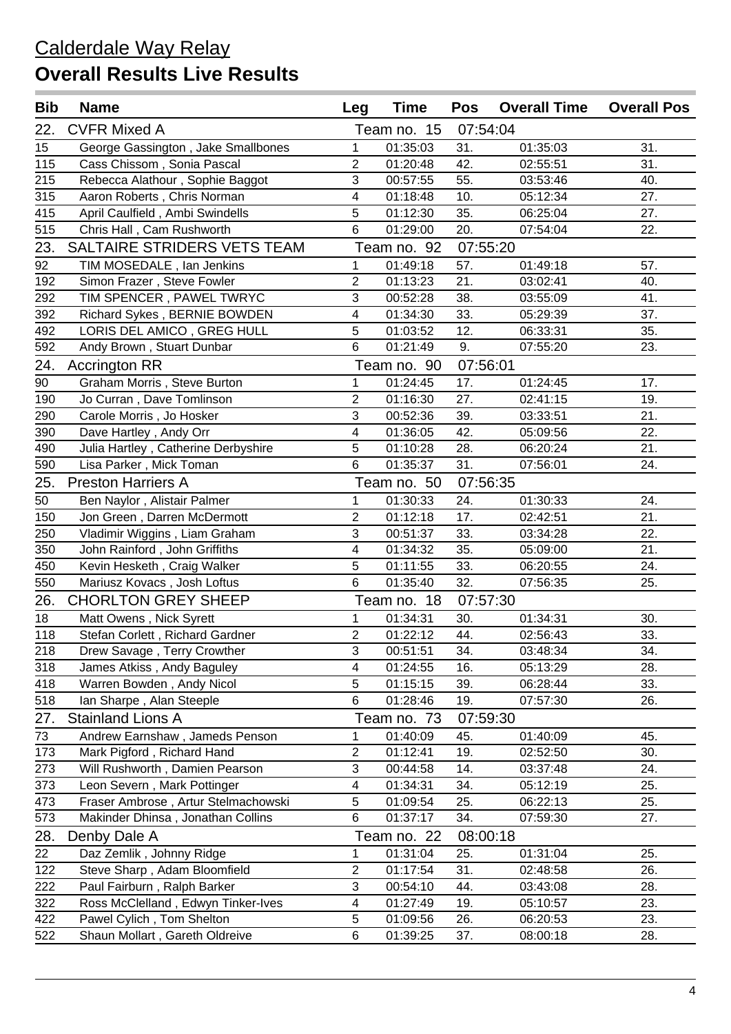| <b>Bib</b>      | <b>Name</b>                         | Leg                       | <b>Time</b> | Pos      | <b>Overall Time</b> | <b>Overall Pos</b> |
|-----------------|-------------------------------------|---------------------------|-------------|----------|---------------------|--------------------|
| 22.             | <b>CVFR Mixed A</b>                 |                           | Team no. 15 | 07:54:04 |                     |                    |
| 15              | George Gassington, Jake Smallbones  | 1                         | 01:35:03    | 31.      | 01:35:03            | 31.                |
| 115             | Cass Chissom, Sonia Pascal          | $\overline{2}$            | 01:20:48    | 42.      | 02:55:51            | 31.                |
| 215             | Rebecca Alathour, Sophie Baggot     | $\mathbf{3}$              | 00:57:55    | 55.      | 03:53:46            | 40.                |
| 315             | Aaron Roberts, Chris Norman         | 4                         | 01:18:48    | 10.      | 05:12:34            | 27.                |
| 415             | April Caulfield, Ambi Swindells     | 5                         | 01:12:30    | 35.      | 06:25:04            | 27.                |
| 515             | Chris Hall, Cam Rushworth           | $6\phantom{1}$            | 01:29:00    | 20.      | 07:54:04            | 22.                |
| 23.             | SALTAIRE STRIDERS VETS TEAM         |                           | Team no. 92 | 07:55:20 |                     |                    |
| 92              | TIM MOSEDALE, Ian Jenkins           | $\mathbf{1}$              | 01:49:18    | 57.      | 01:49:18            | 57.                |
| 192             | Simon Frazer, Steve Fowler          | $\overline{2}$            | 01:13:23    | 21.      | 03:02:41            | 40.                |
| 292             | TIM SPENCER, PAWEL TWRYC            | 3                         | 00:52:28    | 38.      | 03:55:09            | 41.                |
| 392             | Richard Sykes, BERNIE BOWDEN        | 4                         | 01:34:30    | 33.      | 05:29:39            | 37.                |
| 492             | LORIS DEL AMICO, GREG HULL          | 5                         | 01:03:52    | 12.      | 06:33:31            | 35.                |
| 592             | Andy Brown, Stuart Dunbar           | $6\phantom{1}$            | 01:21:49    | 9.       | 07:55:20            | 23.                |
| 24.             | <b>Accrington RR</b>                |                           | Team no. 90 | 07:56:01 |                     |                    |
| $\overline{90}$ | Graham Morris, Steve Burton         | $\mathbf{1}$              | 01:24:45    | 17.      | 01:24:45            | 17.                |
| 190             | Jo Curran, Dave Tomlinson           | $\overline{2}$            | 01:16:30    | 27.      | 02:41:15            | 19.                |
| 290             | Carole Morris, Jo Hosker            | $\mathbf{3}$              | 00:52:36    | 39.      | 03:33:51            | 21.                |
| 390             | Dave Hartley, Andy Orr              | 4                         | 01:36:05    | 42.      | 05:09:56            | 22.                |
| 490             | Julia Hartley, Catherine Derbyshire | 5                         | 01:10:28    | 28.      | 06:20:24            | 21.                |
| 590             | Lisa Parker, Mick Toman             | $6\phantom{1}$            | 01:35:37    | 31.      | 07:56:01            | 24.                |
| 25.             | <b>Preston Harriers A</b>           |                           | Team no. 50 | 07:56:35 |                     |                    |
| 50              | Ben Naylor, Alistair Palmer         | $\mathbf{1}$              | 01:30:33    | 24.      | 01:30:33            | 24.                |
| 150             | Jon Green, Darren McDermott         | 2                         | 01:12:18    | 17.      | 02:42:51            | 21.                |
| 250             | Vladimir Wiggins, Liam Graham       | $\mathbf{3}$              | 00:51:37    | 33.      | 03:34:28            | 22.                |
| 350             | John Rainford, John Griffiths       | 4                         | 01:34:32    | 35.      | 05:09:00            | 21.                |
| 450             | Kevin Hesketh, Craig Walker         | 5                         | 01:11:55    | 33.      | 06:20:55            | 24.                |
| 550             | Mariusz Kovacs, Josh Loftus         | $6\phantom{1}$            | 01:35:40    | 32.      | 07:56:35            | 25.                |
| 26.             | <b>CHORLTON GREY SHEEP</b>          |                           | Team no. 18 | 07:57:30 |                     |                    |
| 18              | Matt Owens, Nick Syrett             | $\mathbf{1}$              | 01:34:31    | 30.      | 01:34:31            | 30.                |
| 118             | Stefan Corlett, Richard Gardner     | 2                         | 01:22:12    | 44.      | 02:56:43            | 33.                |
| 218             | Drew Savage, Terry Crowther         | 3                         | 00:51:51    | 34.      | 03:48:34            | 34.                |
| 318             | James Atkiss, Andy Baguley          | 4                         | 01:24:55    | 16.      | 05:13:29            | 28.                |
| 418             | Warren Bowden, Andy Nicol           | 5                         | 01:15:15    | 39.      | 06:28:44            | 33.                |
| 518             | Ian Sharpe, Alan Steeple            | $\,6$                     | 01:28:46    | 19.      | 07:57:30            | 26.                |
| 27.             | <b>Stainland Lions A</b>            |                           | Team no. 73 | 07:59:30 |                     |                    |
| 73              | Andrew Earnshaw, Jameds Penson      | 1                         | 01:40:09    | 45.      | 01:40:09            | 45.                |
| 173             | Mark Pigford, Richard Hand          | $\mathbf{2}$              | 01:12:41    | 19.      | 02:52:50            | 30.                |
| 273             | Will Rushworth, Damien Pearson      | $\ensuremath{\mathsf{3}}$ | 00:44:58    | 14.      | 03:37:48            | 24.                |
| 373             | Leon Severn, Mark Pottinger         | $\overline{\mathbf{4}}$   | 01:34:31    | 34.      | 05:12:19            | 25.                |
| 473             | Fraser Ambrose, Artur Stelmachowski | $\overline{5}$            | 01:09:54    | 25.      | 06:22:13            | 25.                |
| 573             | Makinder Dhinsa, Jonathan Collins   | $\,6$                     | 01:37:17    | 34.      | 07:59:30            | 27.                |
| 28.             | Denby Dale A                        |                           | Team no. 22 | 08:00:18 |                     |                    |
| 22              | Daz Zemlik, Johnny Ridge            | 1                         | 01:31:04    | 25.      | 01:31:04            | 25.                |
| 122             | Steve Sharp, Adam Bloomfield        | $\mathbf{2}$              | 01:17:54    | 31.      | 02:48:58            | 26.                |
| 222             | Paul Fairburn, Ralph Barker         | $\sqrt{3}$                | 00:54:10    | 44.      | 03:43:08            | 28.                |
| 322             | Ross McClelland, Edwyn Tinker-Ives  | $\overline{\mathbf{4}}$   | 01:27:49    | 19.      | 05:10:57            | 23.                |
| 422             | Pawel Cylich, Tom Shelton           | $\,$ 5 $\,$               | 01:09:56    | 26.      | 06:20:53            | 23.                |
| 522             | Shaun Mollart, Gareth Oldreive      | $\,6$                     | 01:39:25    | 37.      | 08:00:18            | 28.                |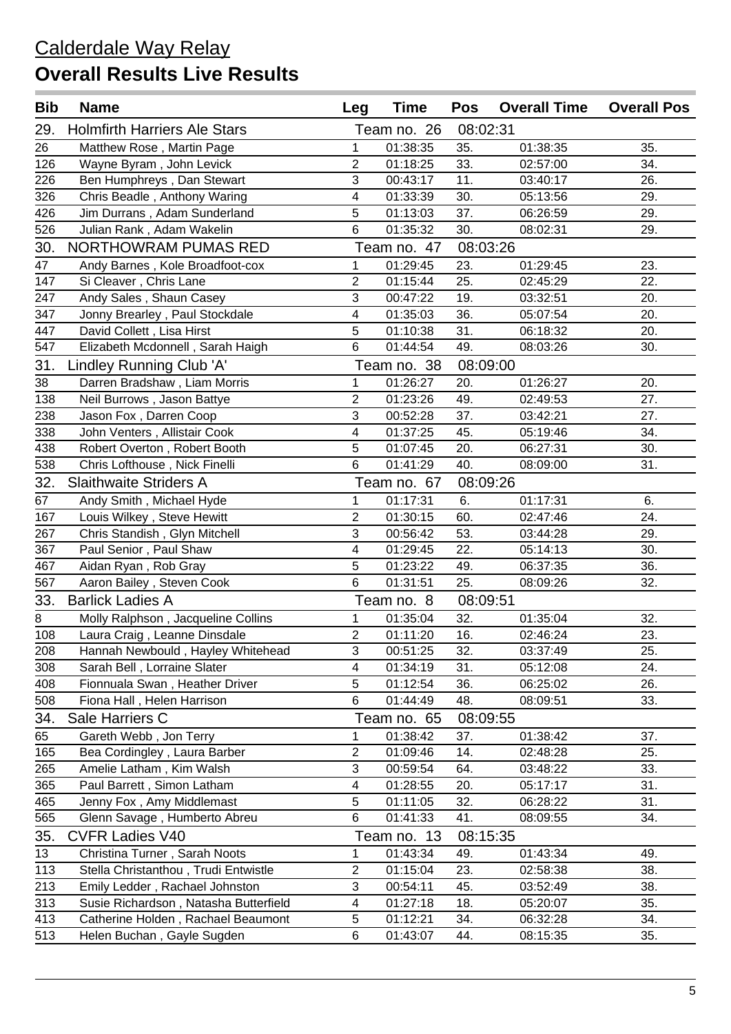| <b>Bib</b> | <b>Name</b>                           | Leg                       | <b>Time</b> | <b>Pos</b> | <b>Overall Time</b> | <b>Overall Pos</b> |
|------------|---------------------------------------|---------------------------|-------------|------------|---------------------|--------------------|
| 29.        | <b>Holmfirth Harriers Ale Stars</b>   |                           | Team no. 26 | 08:02:31   |                     |                    |
| 26         | Matthew Rose, Martin Page             | $\mathbf{1}$              | 01:38:35    | 35.        | 01:38:35            | 35.                |
| 126        | Wayne Byram, John Levick              | $\overline{c}$            | 01:18:25    | 33.        | 02:57:00            | 34.                |
| 226        | Ben Humphreys, Dan Stewart            | $\mathbf{3}$              | 00:43:17    | 11.        | 03:40:17            | 26.                |
| 326        | Chris Beadle, Anthony Waring          | $\overline{\mathbf{4}}$   | 01:33:39    | 30.        | 05:13:56            | 29.                |
| 426        | Jim Durrans, Adam Sunderland          | 5                         | 01:13:03    | 37.        | 06:26:59            | 29.                |
| 526        | Julian Rank, Adam Wakelin             | 6                         | 01:35:32    | 30.        | 08:02:31            | 29.                |
| 30.        | <b>NORTHOWRAM PUMAS RED</b>           |                           | Team no. 47 | 08:03:26   |                     |                    |
| 47         | Andy Barnes, Kole Broadfoot-cox       | $\mathbf{1}$              | 01:29:45    | 23.        | 01:29:45            | 23.                |
| 147        | Si Cleaver, Chris Lane                | $\overline{2}$            | 01:15:44    | 25.        | 02:45:29            | 22.                |
| 247        | Andy Sales, Shaun Casey               | $\overline{3}$            | 00:47:22    | 19.        | 03:32:51            | 20.                |
| 347        | Jonny Brearley, Paul Stockdale        | 4                         | 01:35:03    | 36.        | 05:07:54            | 20.                |
| 447        | David Collett, Lisa Hirst             | 5                         | 01:10:38    | 31.        | 06:18:32            | 20.                |
| 547        | Elizabeth Mcdonnell, Sarah Haigh      | 6                         | 01:44:54    | 49.        | 08:03:26            | 30.                |
| 31.        | Lindley Running Club 'A'              |                           | Team no. 38 | 08:09:00   |                     |                    |
| 38         | Darren Bradshaw, Liam Morris          | $\mathbf{1}$              | 01:26:27    | 20.        | 01:26:27            | 20.                |
| 138        | Neil Burrows, Jason Battye            | $\overline{c}$            | 01:23:26    | 49.        | 02:49:53            | 27.                |
| 238        | Jason Fox, Darren Coop                | $\overline{3}$            | 00:52:28    | 37.        | 03:42:21            | 27.                |
| 338        | John Venters, Allistair Cook          | 4                         | 01:37:25    | 45.        | 05:19:46            | 34.                |
| 438        | Robert Overton, Robert Booth          | 5                         | 01:07:45    | 20.        | 06:27:31            | 30.                |
| 538        | Chris Lofthouse, Nick Finelli         | 6                         | 01:41:29    | 40.        | 08:09:00            | 31.                |
| 32.        | <b>Slaithwaite Striders A</b>         |                           | Team no. 67 | 08:09:26   |                     |                    |
| 67         | Andy Smith, Michael Hyde              | $\mathbf{1}$              | 01:17:31    | 6.         | 01:17:31            | 6.                 |
| 167        | Louis Wilkey, Steve Hewitt            | $\overline{c}$            | 01:30:15    | 60.        | 02:47:46            | 24.                |
| 267        | Chris Standish, Glyn Mitchell         | $\overline{3}$            | 00:56:42    | 53.        | 03:44:28            | 29.                |
| 367        | Paul Senior, Paul Shaw                | 4                         | 01:29:45    | 22.        | 05:14:13            | 30.                |
| 467        | Aidan Ryan, Rob Gray                  | 5                         | 01:23:22    | 49.        | 06:37:35            | 36.                |
| 567        | Aaron Bailey, Steven Cook             | 6                         | 01:31:51    | 25.        | 08:09:26            | 32.                |
| 33.        | <b>Barlick Ladies A</b>               |                           | Team no. 8  | 08:09:51   |                     |                    |
| 8          | Molly Ralphson, Jacqueline Collins    | $\mathbf{1}$              | 01:35:04    | 32.        | 01:35:04            | 32.                |
| 108        | Laura Craig, Leanne Dinsdale          | $\overline{2}$            | 01:11:20    | 16.        | 02:46:24            | 23.                |
| 208        | Hannah Newbould, Hayley Whitehead     | $\ensuremath{\mathsf{3}}$ | 00:51:25    | 32.        | 03:37:49            | 25.                |
| 308        | Sarah Bell, Lorraine Slater           | 4                         | 01:34:19    | 31.        | 05:12:08            | 24.                |
| 408        | Fionnuala Swan, Heather Driver        | 5                         | 01:12:54    | 36.        | 06:25:02            | 26.                |
| 508        | Fiona Hall, Helen Harrison            | 6                         | 01:44:49    | 48.        | 08:09:51            | 33.                |
| 34.        | Sale Harriers C                       |                           | Team no. 65 | 08:09:55   |                     |                    |
| 65         | Gareth Webb, Jon Terry                | $\mathbf{1}$              | 01:38:42    | 37.        | 01:38:42            | 37.                |
| 165        | Bea Cordingley, Laura Barber          | $\overline{c}$            | 01:09:46    | 14.        | 02:48:28            | 25.                |
| 265        | Amelie Latham, Kim Walsh              | $\ensuremath{\mathsf{3}}$ | 00:59:54    | 64.        | 03:48:22            | 33.                |
| 365        | Paul Barrett, Simon Latham            | 4                         | 01:28:55    | 20.        | 05:17:17            | 31.                |
| 465        | Jenny Fox, Amy Middlemast             | 5                         | 01:11:05    | 32.        | 06:28:22            | 31.                |
| 565        | Glenn Savage, Humberto Abreu          | 6                         | 01:41:33    | 41.        | 08:09:55            | 34.                |
| 35.        | <b>CVFR Ladies V40</b>                |                           | Team no. 13 | 08:15:35   |                     |                    |
| 13         | Christina Turner, Sarah Noots         | $\mathbf{1}$              | 01:43:34    | 49.        | 01:43:34            | 49.                |
| 113        | Stella Christanthou, Trudi Entwistle  | $\overline{c}$            | 01:15:04    | 23.        | 02:58:38            | 38.                |
| 213        | Emily Ledder, Rachael Johnston        | 3                         | 00:54:11    | 45.        | 03:52:49            | 38.                |
| 313        | Susie Richardson, Natasha Butterfield | 4                         | 01:27:18    | 18.        | 05:20:07            | 35.                |
| 413        | Catherine Holden, Rachael Beaumont    | 5                         | 01:12:21    | 34.        | 06:32:28            | 34.                |
| 513        | Helen Buchan, Gayle Sugden            | 6                         | 01:43:07    | 44.        | 08:15:35            | 35.                |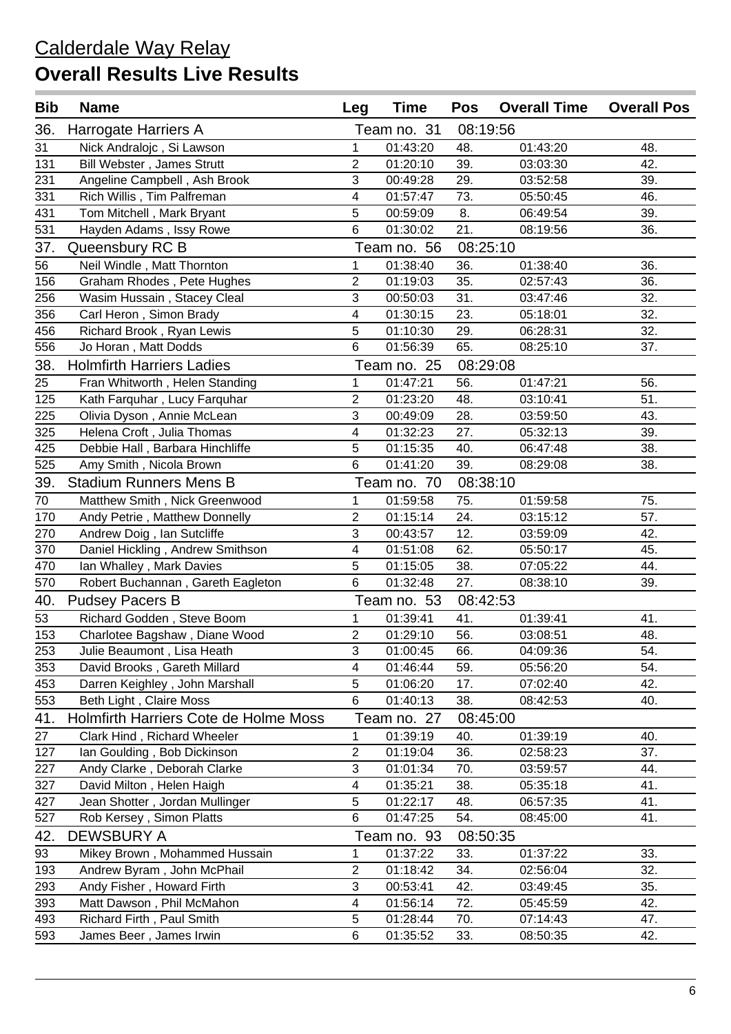| <b>Bib</b> | <b>Name</b>                           | Leg                       | <b>Time</b> | Pos      | <b>Overall Time</b> | <b>Overall Pos</b> |
|------------|---------------------------------------|---------------------------|-------------|----------|---------------------|--------------------|
| 36.        | Harrogate Harriers A                  |                           | Team no. 31 | 08:19:56 |                     |                    |
| 31         | Nick Andralojc, Si Lawson             | 1                         | 01:43:20    | 48.      | 01:43:20            | 48.                |
| 131        | Bill Webster, James Strutt            | 2                         | 01:20:10    | 39.      | 03:03:30            | 42.                |
| 231        | Angeline Campbell, Ash Brook          | 3                         | 00:49:28    | 29.      | 03:52:58            | 39.                |
| 331        | Rich Willis, Tim Palfreman            | 4                         | 01:57:47    | 73.      | 05:50:45            | 46.                |
| 431        | Tom Mitchell, Mark Bryant             | 5                         | 00:59:09    | 8.       | 06:49:54            | 39.                |
| 531        | Hayden Adams, Issy Rowe               | $6\phantom{1}$            | 01:30:02    | 21.      | 08:19:56            | 36.                |
| 37.        | Queensbury RC B                       |                           | Team no. 56 | 08:25:10 |                     |                    |
| 56         | Neil Windle, Matt Thornton            | 1                         | 01:38:40    | 36.      | 01:38:40            | 36.                |
| 156        | Graham Rhodes, Pete Hughes            | 2                         | 01:19:03    | 35.      | 02:57:43            | 36.                |
| 256        | Wasim Hussain, Stacey Cleal           | 3                         | 00:50:03    | 31.      | 03:47:46            | 32.                |
| 356        | Carl Heron, Simon Brady               | 4                         | 01:30:15    | 23.      | 05:18:01            | 32.                |
| 456        | Richard Brook, Ryan Lewis             | 5                         | 01:10:30    | 29.      | 06:28:31            | 32.                |
| 556        | Jo Horan, Matt Dodds                  | 6                         | 01:56:39    | 65.      | 08:25:10            | 37.                |
| 38.        | <b>Holmfirth Harriers Ladies</b>      |                           | Team no. 25 | 08:29:08 |                     |                    |
| 25         | Fran Whitworth, Helen Standing        | 1                         | 01:47:21    | 56.      | 01:47:21            | 56.                |
| 125        | Kath Farquhar, Lucy Farquhar          | $\overline{2}$            | 01:23:20    | 48.      | 03:10:41            | 51.                |
| 225        | Olivia Dyson, Annie McLean            | 3                         | 00:49:09    | 28.      | 03:59:50            | 43.                |
| 325        | Helena Croft, Julia Thomas            | 4                         | 01:32:23    | 27.      | 05:32:13            | 39.                |
| 425        | Debbie Hall, Barbara Hinchliffe       | 5                         | 01:15:35    | 40.      | 06:47:48            | 38.                |
| 525        | Amy Smith, Nicola Brown               | 6                         | 01:41:20    | 39.      | 08:29:08            | 38.                |
| 39.        | <b>Stadium Runners Mens B</b>         |                           | Team no. 70 | 08:38:10 |                     |                    |
| 70         | Matthew Smith, Nick Greenwood         | $\mathbf{1}$              | 01:59:58    | 75.      | 01:59:58            | 75.                |
| 170        | Andy Petrie, Matthew Donnelly         | $\overline{2}$            | 01:15:14    | 24.      | 03:15:12            | 57.                |
| 270        | Andrew Doig, Ian Sutcliffe            | 3                         | 00:43:57    | 12.      | 03:59:09            | 42.                |
| 370        | Daniel Hickling, Andrew Smithson      | 4                         | 01:51:08    | 62.      | 05:50:17            | 45.                |
| 470        | Ian Whalley, Mark Davies              | 5                         | 01:15:05    | 38.      | 07:05:22            | 44.                |
| 570        | Robert Buchannan, Gareth Eagleton     | 6                         | 01:32:48    | 27.      | 08:38:10            | 39.                |
| 40.        | <b>Pudsey Pacers B</b>                |                           | Team no. 53 | 08:42:53 |                     |                    |
| 53         | Richard Godden, Steve Boom            | $\mathbf{1}$              | 01:39:41    | 41.      | 01:39:41            | 41.                |
| 153        | Charlotee Bagshaw, Diane Wood         | $\overline{2}$            | 01:29:10    | 56.      | 03:08:51            | 48.                |
| 253        | Julie Beaumont, Lisa Heath            | $\ensuremath{\mathsf{3}}$ | 01:00:45    | 66.      | 04:09:36            | 54.                |
| 353        | David Brooks, Gareth Millard          | $\overline{\mathbf{4}}$   | 01:46:44    | 59.      | 05:56:20            | 54.                |
| 453        | Darren Keighley, John Marshall        | 5                         | 01:06:20    | 17.      | 07:02:40            | 42.                |
| 553        | Beth Light, Claire Moss               | 6                         | 01:40:13    | 38.      | 08:42:53            | 40.                |
| 41.        | Holmfirth Harriers Cote de Holme Moss |                           | Team no. 27 | 08:45:00 |                     |                    |
| 27         | Clark Hind, Richard Wheeler           | 1                         | 01:39:19    | 40.      | 01:39:19            | 40.                |
| 127        | Ian Goulding, Bob Dickinson           | $\overline{c}$            | 01:19:04    | 36.      | 02:58:23            | 37.                |
| 227        | Andy Clarke, Deborah Clarke           | $\ensuremath{\mathsf{3}}$ | 01:01:34    | 70.      | 03:59:57            | 44.                |
| 327        | David Milton, Helen Haigh             | 4                         | 01:35:21    | 38.      | 05:35:18            | 41.                |
| 427        | Jean Shotter, Jordan Mullinger        | $\sqrt{5}$                | 01:22:17    | 48.      | 06:57:35            | 41.                |
| 527        | Rob Kersey, Simon Platts              | 6                         | 01:47:25    | 54.      | 08:45:00            | 41.                |
| 42.        | <b>DEWSBURY A</b>                     |                           | Team no. 93 | 08:50:35 |                     |                    |
| 93         | Mikey Brown, Mohammed Hussain         | 1                         | 01:37:22    | 33.      | 01:37:22            | 33.                |
| 193        | Andrew Byram, John McPhail            | $\mathbf{2}$              | 01:18:42    | 34.      | 02:56:04            | 32.                |
| 293        | Andy Fisher, Howard Firth             | $\sqrt{3}$                | 00:53:41    | 42.      | 03:49:45            | 35.                |
| 393        | Matt Dawson, Phil McMahon             | $\overline{\mathbf{4}}$   | 01:56:14    | 72.      | 05:45:59            | 42.                |
| 493        | Richard Firth, Paul Smith             | 5                         | 01:28:44    | 70.      | 07:14:43            | 47.                |
| 593        | James Beer, James Irwin               | $\,6$                     | 01:35:52    | 33.      | 08:50:35            | 42.                |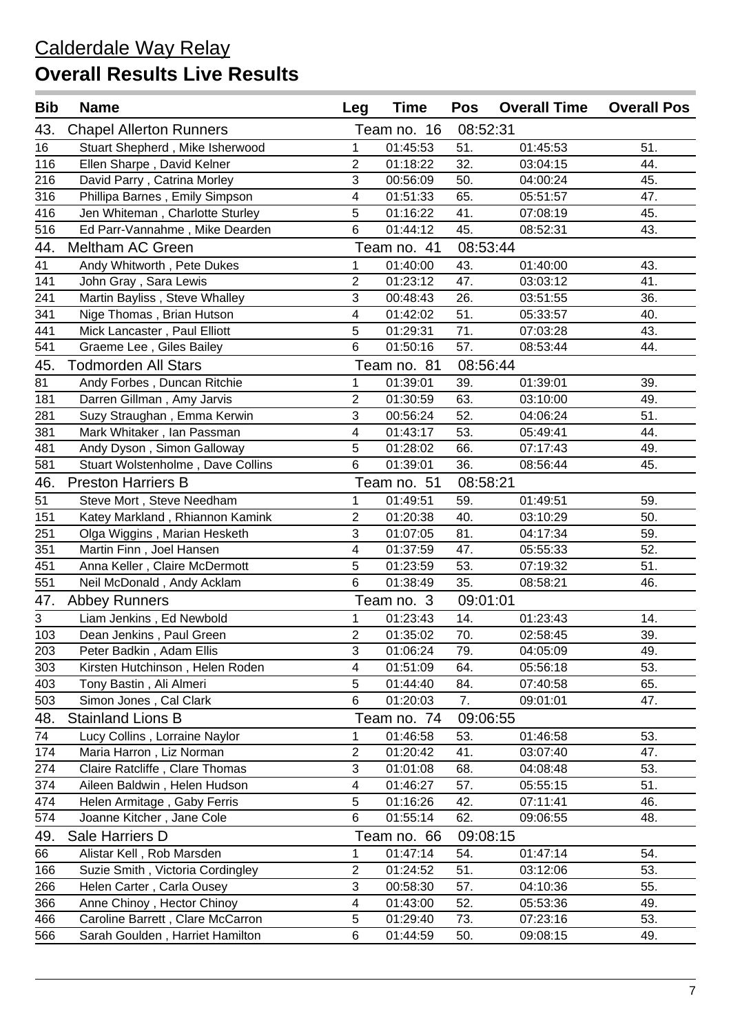| <b>Bib</b> | <b>Name</b>                       | Leg                       | <b>Time</b> | Pos      | <b>Overall Time</b> | <b>Overall Pos</b> |
|------------|-----------------------------------|---------------------------|-------------|----------|---------------------|--------------------|
| 43.        | <b>Chapel Allerton Runners</b>    |                           | Team no. 16 | 08:52:31 |                     |                    |
| 16         | Stuart Shepherd, Mike Isherwood   | 1                         | 01:45:53    | 51.      | 01:45:53            | 51.                |
| 116        | Ellen Sharpe, David Kelner        | $\overline{2}$            | 01:18:22    | 32.      | 03:04:15            | 44.                |
| 216        | David Parry, Catrina Morley       | 3                         | 00:56:09    | 50.      | 04:00:24            | 45.                |
| 316        | Phillipa Barnes, Emily Simpson    | 4                         | 01:51:33    | 65.      | 05:51:57            | 47.                |
| 416        | Jen Whiteman, Charlotte Sturley   | 5                         | 01:16:22    | 41.      | 07:08:19            | 45.                |
| 516        | Ed Parr-Vannahme, Mike Dearden    | $6\phantom{1}$            | 01:44:12    | 45.      | 08:52:31            | 43.                |
| 44.        | <b>Meltham AC Green</b>           |                           | Team no. 41 | 08:53:44 |                     |                    |
| 41         | Andy Whitworth, Pete Dukes        | 1                         | 01:40:00    | 43.      | 01:40:00            | 43.                |
| 141        | John Gray, Sara Lewis             | 2                         | 01:23:12    | 47.      | 03:03:12            | 41.                |
| 241        | Martin Bayliss, Steve Whalley     | 3                         | 00:48:43    | 26.      | 03:51:55            | 36.                |
| 341        | Nige Thomas, Brian Hutson         | 4                         | 01:42:02    | 51.      | 05:33:57            | 40.                |
| 441        | Mick Lancaster, Paul Elliott      | 5                         | 01:29:31    | 71.      | 07:03:28            | 43.                |
| 541        | Graeme Lee, Giles Bailey          | 6                         | 01:50:16    | 57.      | 08:53:44            | 44.                |
| 45.        | <b>Todmorden All Stars</b>        |                           | Team no. 81 | 08:56:44 |                     |                    |
| 81         | Andy Forbes, Duncan Ritchie       | 1                         | 01:39:01    | 39.      | 01:39:01            | 39.                |
| 181        | Darren Gillman, Amy Jarvis        | $\overline{2}$            | 01:30:59    | 63.      | 03:10:00            | 49.                |
| 281        | Suzy Straughan, Emma Kerwin       | 3                         | 00:56:24    | 52.      | 04:06:24            | 51.                |
| 381        | Mark Whitaker, Ian Passman        | 4                         | 01:43:17    | 53.      | 05:49:41            | 44.                |
| 481        | Andy Dyson, Simon Galloway        | 5                         | 01:28:02    | 66.      | 07:17:43            | 49.                |
| 581        | Stuart Wolstenholme, Dave Collins | 6                         | 01:39:01    | 36.      | 08:56:44            | 45.                |
| 46.        | <b>Preston Harriers B</b>         |                           | Team no. 51 | 08:58:21 |                     |                    |
| 51         | Steve Mort, Steve Needham         | $\mathbf{1}$              | 01:49:51    | 59.      | 01:49:51            | 59.                |
| 151        | Katey Markland, Rhiannon Kamink   | $\overline{2}$            | 01:20:38    | 40.      | 03:10:29            | 50.                |
| 251        | Olga Wiggins, Marian Hesketh      | 3                         | 01:07:05    | 81.      | 04:17:34            | 59.                |
| 351        | Martin Finn, Joel Hansen          | 4                         | 01:37:59    | 47.      | 05:55:33            | 52.                |
| 451        | Anna Keller, Claire McDermott     | 5                         | 01:23:59    | 53.      | 07:19:32            | 51.                |
| 551        | Neil McDonald, Andy Acklam        | 6                         | 01:38:49    | 35.      | 08:58:21            | 46.                |
| 47.        | <b>Abbey Runners</b>              |                           | Team no. 3  | 09:01:01 |                     |                    |
| 3          | Liam Jenkins, Ed Newbold          | $\mathbf{1}$              | 01:23:43    | 14.      | 01:23:43            | 14.                |
| 103        | Dean Jenkins, Paul Green          | $\overline{2}$            | 01:35:02    | 70.      | 02:58:45            | 39.                |
| 203        | Peter Badkin, Adam Ellis          | $\ensuremath{\mathsf{3}}$ | 01:06:24    | 79.      | 04:05:09            | 49.                |
| 303        | Kirsten Hutchinson, Helen Roden   | $\overline{\mathbf{4}}$   | 01:51:09    | 64.      | 05:56:18            | 53.                |
| 403        | Tony Bastin, Ali Almeri           | 5                         | 01:44:40    | 84.      | 07:40:58            | 65.                |
| 503        | Simon Jones, Cal Clark            | 6                         | 01:20:03    | 7.       | 09:01:01            | 47.                |
| 48.        | <b>Stainland Lions B</b>          |                           | Team no. 74 | 09:06:55 |                     |                    |
| 74         | Lucy Collins, Lorraine Naylor     | 1                         | 01:46:58    | 53.      | 01:46:58            | 53.                |
| 174        | Maria Harron, Liz Norman          | $\overline{c}$            | 01:20:42    | 41.      | 03:07:40            | 47.                |
| 274        | Claire Ratcliffe, Clare Thomas    | $\sqrt{3}$                | 01:01:08    | 68.      | 04:08:48            | 53.                |
| 374        | Aileen Baldwin, Helen Hudson      | 4                         | 01:46:27    | 57.      | 05:55:15            | 51.                |
| 474        | Helen Armitage, Gaby Ferris       | 5                         | 01:16:26    | 42.      | 07:11:41            | 46.                |
| 574        | Joanne Kitcher, Jane Cole         | 6                         | 01:55:14    | 62.      | 09:06:55            | 48.                |
| 49.        | Sale Harriers D                   |                           | Team no. 66 | 09:08:15 |                     |                    |
| 66         | Alistar Kell, Rob Marsden         | 1                         | 01:47:14    | 54.      | 01:47:14            | 54.                |
| 166        | Suzie Smith, Victoria Cordingley  | $\mathbf{2}$              | 01:24:52    | 51.      | 03:12:06            | 53.                |
| 266        | Helen Carter, Carla Ousey         | $\sqrt{3}$                | 00:58:30    | 57.      | 04:10:36            | 55.                |
| 366        | Anne Chinoy, Hector Chinoy        | $\overline{\mathbf{4}}$   | 01:43:00    | 52.      | 05:53:36            | 49.                |
| 466        | Caroline Barrett, Clare McCarron  | 5                         | 01:29:40    | 73.      | 07:23:16            | 53.                |
| 566        | Sarah Goulden, Harriet Hamilton   | $\,6$                     | 01:44:59    | 50.      | 09:08:15            | 49.                |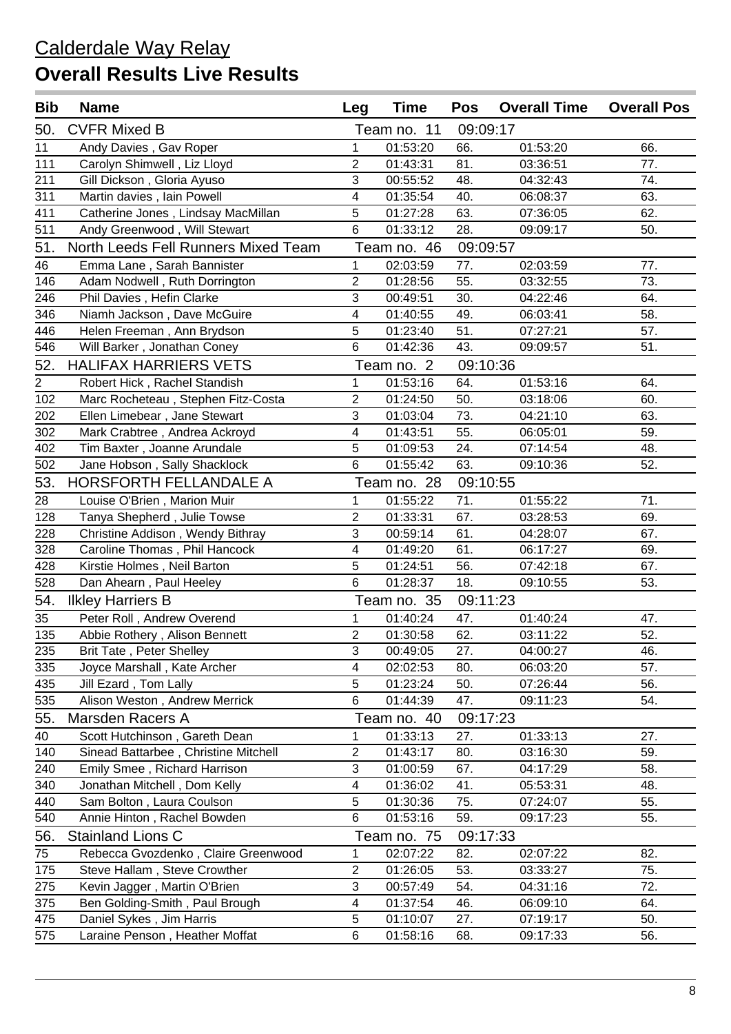| <b>Bib</b>     | <b>Name</b>                          | Leg                       | <b>Time</b> | Pos      | <b>Overall Time</b> | <b>Overall Pos</b> |
|----------------|--------------------------------------|---------------------------|-------------|----------|---------------------|--------------------|
| 50.            | <b>CVFR Mixed B</b>                  |                           | Team no. 11 | 09:09:17 |                     |                    |
| 11             | Andy Davies, Gav Roper               | 1                         | 01:53:20    | 66.      | 01:53:20            | 66.                |
| 111            | Carolyn Shimwell, Liz Lloyd          | 2                         | 01:43:31    | 81.      | 03:36:51            | 77.                |
| 211            | Gill Dickson, Gloria Ayuso           | 3                         | 00:55:52    | 48.      | 04:32:43            | 74.                |
| 311            | Martin davies, Iain Powell           | 4                         | 01:35:54    | 40.      | 06:08:37            | 63.                |
| 411            | Catherine Jones, Lindsay MacMillan   | 5                         | 01:27:28    | 63.      | 07:36:05            | 62.                |
| 511            | Andy Greenwood, Will Stewart         | 6                         | 01:33:12    | 28.      | 09:09:17            | 50.                |
| 51.            | North Leeds Fell Runners Mixed Team  |                           | Team no. 46 | 09:09:57 |                     |                    |
| 46             | Emma Lane, Sarah Bannister           | 1                         | 02:03:59    | 77.      | 02:03:59            | 77.                |
| 146            | Adam Nodwell, Ruth Dorrington        | $\sqrt{2}$                | 01:28:56    | 55.      | 03:32:55            | 73.                |
| 246            | Phil Davies, Hefin Clarke            | 3                         | 00:49:51    | 30.      | 04:22:46            | 64.                |
| 346            | Niamh Jackson, Dave McGuire          | 4                         | 01:40:55    | 49.      | 06:03:41            | 58.                |
| 446            | Helen Freeman, Ann Brydson           | 5                         | 01:23:40    | 51.      | 07:27:21            | 57.                |
| 546            | Will Barker, Jonathan Coney          | $6\phantom{1}$            | 01:42:36    | 43.      | 09:09:57            | 51.                |
| 52.            | <b>HALIFAX HARRIERS VETS</b>         |                           | Team no. 2  | 09:10:36 |                     |                    |
| $\overline{2}$ | Robert Hick, Rachel Standish         | 1                         | 01:53:16    | 64.      | 01:53:16            | 64.                |
| 102            | Marc Rocheteau, Stephen Fitz-Costa   | $\sqrt{2}$                | 01:24:50    | 50.      | 03:18:06            | 60.                |
| 202            | Ellen Limebear, Jane Stewart         | 3                         | 01:03:04    | 73.      | 04:21:10            | 63.                |
| 302            | Mark Crabtree, Andrea Ackroyd        | 4                         | 01:43:51    | 55.      | 06:05:01            | 59.                |
| 402            | Tim Baxter, Joanne Arundale          | 5                         | 01:09:53    | 24.      | 07:14:54            | 48.                |
| 502            | Jane Hobson, Sally Shacklock         | $6\phantom{1}$            | 01:55:42    | 63.      | 09:10:36            | 52.                |
| 53.            | HORSFORTH FELLANDALE A               |                           | Team no. 28 | 09:10:55 |                     |                    |
| 28             | Louise O'Brien, Marion Muir          | $\mathbf{1}$              | 01:55:22    | 71.      | 01:55:22            | 71.                |
| 128            | Tanya Shepherd, Julie Towse          | $\overline{2}$            | 01:33:31    | 67.      | 03:28:53            | 69.                |
| 228            | Christine Addison, Wendy Bithray     | 3                         | 00:59:14    | 61.      | 04:28:07            | 67.                |
| 328            | Caroline Thomas, Phil Hancock        | 4                         | 01:49:20    | 61.      | 06:17:27            | 69.                |
| 428            | Kirstie Holmes, Neil Barton          | 5                         | 01:24:51    | 56.      | 07:42:18            | 67.                |
| 528            | Dan Ahearn, Paul Heeley              | $6\phantom{1}$            | 01:28:37    | 18.      | 09:10:55            | 53.                |
| 54.            | <b>Ilkley Harriers B</b>             |                           | Team no. 35 | 09:11:23 |                     |                    |
| 35             | Peter Roll, Andrew Overend           | $\mathbf{1}$              | 01:40:24    | 47.      | 01:40:24            | 47.                |
| 135            | Abbie Rothery, Alison Bennett        | $\overline{2}$            | 01:30:58    | 62.      | 03:11:22            | 52.                |
| 235            | <b>Brit Tate, Peter Shelley</b>      | $\ensuremath{\mathsf{3}}$ | 00:49:05    | 27.      | 04:00:27            | 46.                |
| 335            | Joyce Marshall, Kate Archer          | $\overline{\mathbf{4}}$   | 02:02:53    | 80.      | 06:03:20            | 57.                |
| 435            | Jill Ezard, Tom Lally                | 5                         | 01:23:24    | 50.      | 07:26:44            | 56.                |
| 535            | Alison Weston, Andrew Merrick        | 6                         | 01:44:39    | 47.      | 09:11:23            | 54.                |
| 55.            | Marsden Racers A                     |                           | Team no. 40 | 09:17:23 |                     |                    |
| 40             | Scott Hutchinson, Gareth Dean        | 1                         | 01:33:13    | 27.      | 01:33:13            | 27.                |
| 140            | Sinead Battarbee, Christine Mitchell | $\overline{c}$            | 01:43:17    | 80.      | 03:16:30            | 59.                |
| 240            | Emily Smee, Richard Harrison         | $\sqrt{3}$                | 01:00:59    | 67.      | 04:17:29            | 58.                |
| 340            | Jonathan Mitchell, Dom Kelly         | $\overline{\mathbf{4}}$   | 01:36:02    | 41.      | 05:53:31            | 48.                |
| 440            | Sam Bolton, Laura Coulson            | 5                         | 01:30:36    | 75.      | 07:24:07            | 55.                |
| 540            | Annie Hinton, Rachel Bowden          | 6                         | 01:53:16    | 59.      | 09:17:23            | 55.                |
| 56.            | <b>Stainland Lions C</b>             |                           | Team no. 75 | 09:17:33 |                     |                    |
| 75             | Rebecca Gvozdenko, Claire Greenwood  | 1                         | 02:07:22    | 82.      | 02:07:22            | 82.                |
| 175            | Steve Hallam, Steve Crowther         | $\mathbf{2}$              | 01:26:05    | 53.      | 03:33:27            | 75.                |
| 275            | Kevin Jagger, Martin O'Brien         | $\sqrt{3}$                | 00:57:49    | 54.      | 04:31:16            | 72.                |
| 375            | Ben Golding-Smith, Paul Brough       | $\overline{\mathbf{4}}$   | 01:37:54    | 46.      | 06:09:10            | 64.                |
| 475            | Daniel Sykes, Jim Harris             | 5                         | 01:10:07    | 27.      | 07:19:17            | 50.                |
| 575            | Laraine Penson, Heather Moffat       | $\,6$                     | 01:58:16    | 68.      | 09:17:33            | 56.                |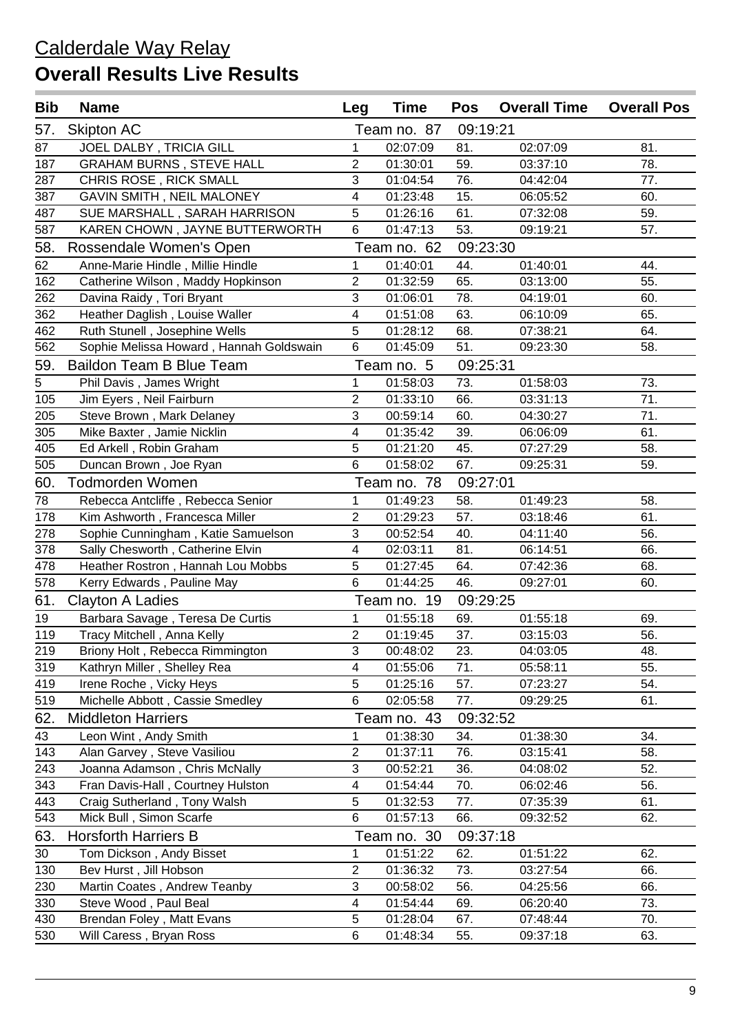| <b>Bib</b>     | <b>Name</b>                             | Leg                       | <b>Time</b> | <b>Pos</b> | <b>Overall Time</b> | <b>Overall Pos</b> |
|----------------|-----------------------------------------|---------------------------|-------------|------------|---------------------|--------------------|
| 57.            | <b>Skipton AC</b>                       |                           | Team no. 87 | 09:19:21   |                     |                    |
| 87             | JOEL DALBY, TRICIA GILL                 | 1                         | 02:07:09    | 81.        | 02:07:09            | 81.                |
| 187            | <b>GRAHAM BURNS, STEVE HALL</b>         | $\overline{2}$            | 01:30:01    | 59.        | 03:37:10            | 78.                |
| 287            | CHRIS ROSE, RICK SMALL                  | 3                         | 01:04:54    | 76.        | 04:42:04            | 77.                |
| 387            | GAVIN SMITH, NEIL MALONEY               | 4                         | 01:23:48    | 15.        | 06:05:52            | 60.                |
| 487            | SUE MARSHALL, SARAH HARRISON            | 5                         | 01:26:16    | 61.        | 07:32:08            | 59.                |
| 587            | KAREN CHOWN, JAYNE BUTTERWORTH          | 6                         | 01:47:13    | 53.        | 09:19:21            | 57.                |
| 58.            | Rossendale Women's Open                 |                           | Team no. 62 | 09:23:30   |                     |                    |
| 62             | Anne-Marie Hindle, Millie Hindle        | 1                         | 01:40:01    | 44.        | 01:40:01            | 44.                |
| 162            | Catherine Wilson, Maddy Hopkinson       | 2                         | 01:32:59    | 65.        | 03:13:00            | 55.                |
| 262            | Davina Raidy, Tori Bryant               | 3                         | 01:06:01    | 78.        | 04:19:01            | 60.                |
| 362            | Heather Daglish, Louise Waller          | 4                         | 01:51:08    | 63.        | 06:10:09            | 65.                |
| 462            | Ruth Stunell, Josephine Wells           | 5                         | 01:28:12    | 68.        | 07:38:21            | 64.                |
| 562            | Sophie Melissa Howard, Hannah Goldswain | $6\phantom{1}$            | 01:45:09    | 51.        | 09:23:30            | 58.                |
| 59.            | <b>Baildon Team B Blue Team</b>         |                           | Team no. 5  | 09:25:31   |                     |                    |
| $\overline{5}$ | Phil Davis, James Wright                | 1                         | 01:58:03    | 73.        | 01:58:03            | 73.                |
| 105            | Jim Eyers, Neil Fairburn                | $\overline{2}$            | 01:33:10    | 66.        | 03:31:13            | 71.                |
| 205            | Steve Brown, Mark Delaney               | 3                         | 00:59:14    | 60.        | 04:30:27            | 71.                |
| 305            | Mike Baxter, Jamie Nicklin              | 4                         | 01:35:42    | 39.        | 06:06:09            | 61.                |
| 405            | Ed Arkell, Robin Graham                 | 5                         | 01:21:20    | 45.        | 07:27:29            | 58.                |
| 505            | Duncan Brown, Joe Ryan                  | $6\phantom{1}$            | 01:58:02    | 67.        | 09:25:31            | 59.                |
| 60.            | Todmorden Women                         |                           | Team no. 78 | 09:27:01   |                     |                    |
| 78             | Rebecca Antcliffe, Rebecca Senior       | $\mathbf{1}$              | 01:49:23    | 58.        | 01:49:23            | 58.                |
| 178            | Kim Ashworth, Francesca Miller          | $\overline{2}$            | 01:29:23    | 57.        | 03:18:46            | 61.                |
| 278            | Sophie Cunningham, Katie Samuelson      | 3                         | 00:52:54    | 40.        | 04:11:40            | 56.                |
| 378            | Sally Chesworth, Catherine Elvin        | 4                         | 02:03:11    | 81.        | 06:14:51            | 66.                |
| 478            | Heather Rostron, Hannah Lou Mobbs       | 5                         | 01:27:45    | 64.        | 07:42:36            | 68.                |
| 578            | Kerry Edwards, Pauline May              | 6                         | 01:44:25    | 46.        | 09:27:01            | 60.                |
| 61.            | <b>Clayton A Ladies</b>                 |                           | Team no. 19 | 09:29:25   |                     |                    |
| 19             | Barbara Savage, Teresa De Curtis        | $\mathbf{1}$              | 01:55:18    | 69.        | 01:55:18            | 69.                |
| 119            | Tracy Mitchell, Anna Kelly              | $\overline{2}$            | 01:19:45    | 37.        | 03:15:03            | 56.                |
| 219            | Briony Holt, Rebecca Rimmington         | $\ensuremath{\mathsf{3}}$ | 00:48:02    | 23.        | 04:03:05            | 48.                |
| 319            | Kathryn Miller, Shelley Rea             | $\overline{4}$            | 01:55:06    | 71.        | 05:58:11            | 55.                |
| 419            | Irene Roche, Vicky Heys                 | 5                         | 01:25:16    | 57.        | 07:23:27            | 54.                |
| 519            | Michelle Abbott, Cassie Smedley         | $6\phantom{1}$            | 02:05:58    | 77.        | 09:29:25            | 61.                |
| 62.            | <b>Middleton Harriers</b>               |                           | Team no. 43 | 09:32:52   |                     |                    |
| 43             | Leon Wint, Andy Smith                   | 1                         | 01:38:30    | 34.        | 01:38:30            | 34.                |
| 143            | Alan Garvey, Steve Vasiliou             | $\overline{c}$            | 01:37:11    | 76.        | 03:15:41            | 58.                |
| 243            | Joanna Adamson, Chris McNally           | $\sqrt{3}$                | 00:52:21    | 36.        | 04:08:02            | 52.                |
| 343            | Fran Davis-Hall, Courtney Hulston       | 4                         | 01:54:44    | 70.        | 06:02:46            | 56.                |
| 443            | Craig Sutherland, Tony Walsh            | 5                         | 01:32:53    | 77.        | 07:35:39            | 61.                |
| 543            | Mick Bull, Simon Scarfe                 | 6                         | 01:57:13    | 66.        | 09:32:52            | 62.                |
| 63.            | <b>Horsforth Harriers B</b>             |                           | Team no. 30 | 09:37:18   |                     |                    |
| 30             | Tom Dickson, Andy Bisset                | 1                         | 01:51:22    | 62.        | 01:51:22            | 62.                |
| 130            | Bev Hurst, Jill Hobson                  | $\sqrt{2}$                | 01:36:32    | 73.        | 03:27:54            | 66.                |
| 230            | Martin Coates, Andrew Teanby            | $\sqrt{3}$                | 00:58:02    | 56.        | 04:25:56            | 66.                |
| 330            | Steve Wood, Paul Beal                   | $\overline{\mathbf{4}}$   | 01:54:44    | 69.        | 06:20:40            | 73.                |
| 430            | Brendan Foley, Matt Evans               | 5                         | 01:28:04    | 67.        | 07:48:44            | 70.                |
| 530            | Will Caress, Bryan Ross                 | $\,6$                     | 01:48:34    | 55.        | 09:37:18            | 63.                |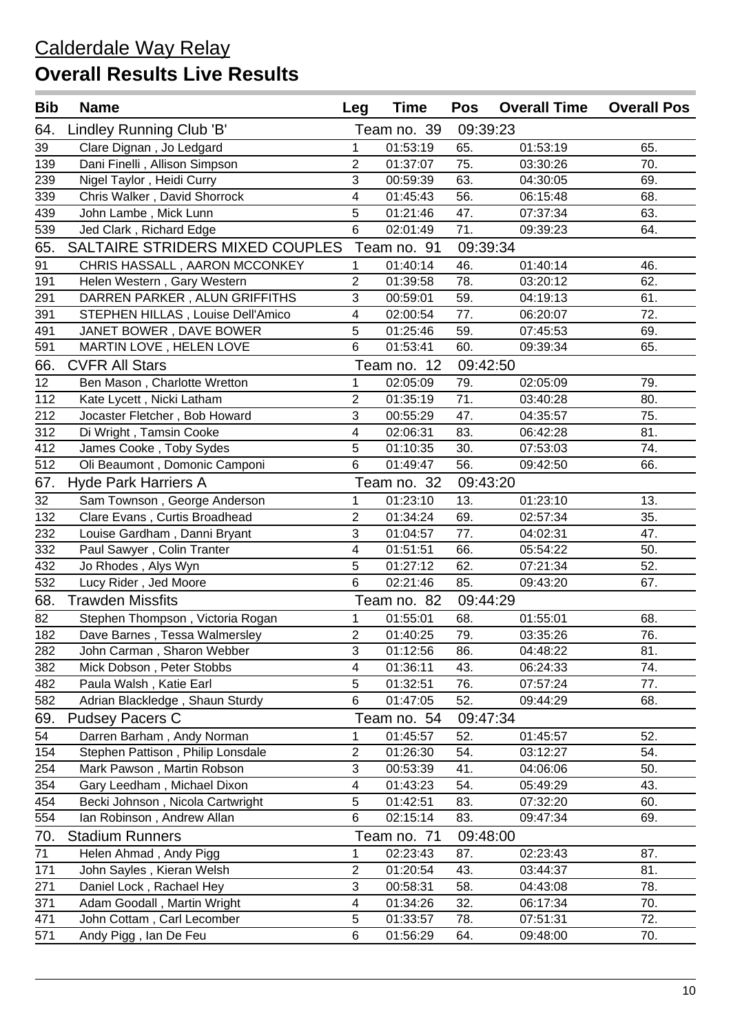| <b>Bib</b> | <b>Name</b>                       | Leg                       | <b>Time</b> | <b>Pos</b> | <b>Overall Time</b> | <b>Overall Pos</b> |
|------------|-----------------------------------|---------------------------|-------------|------------|---------------------|--------------------|
| 64.        | Lindley Running Club 'B'          |                           | Team no. 39 | 09:39:23   |                     |                    |
| 39         | Clare Dignan, Jo Ledgard          | 1                         | 01:53:19    | 65.        | 01:53:19            | 65.                |
| 139        | Dani Finelli, Allison Simpson     | $\overline{c}$            | 01:37:07    | 75.        | 03:30:26            | 70.                |
| 239        | Nigel Taylor, Heidi Curry         | $\mathbf{3}$              | 00:59:39    | 63.        | 04:30:05            | 69.                |
| 339        | Chris Walker, David Shorrock      | 4                         | 01:45:43    | 56.        | 06:15:48            | 68.                |
| 439        | John Lambe, Mick Lunn             | 5                         | 01:21:46    | 47.        | 07:37:34            | 63.                |
| 539        | Jed Clark, Richard Edge           | 6                         | 02:01:49    | 71.        | 09:39:23            | 64.                |
| 65.        | SALTAIRE STRIDERS MIXED COUPLES   |                           | Team no. 91 | 09:39:34   |                     |                    |
| 91         | CHRIS HASSALL, AARON MCCONKEY     | $\mathbf{1}$              | 01:40:14    | 46.        | 01:40:14            | 46.                |
| 191        | Helen Western, Gary Western       | $\mathbf{2}$              | 01:39:58    | 78.        | 03:20:12            | 62.                |
| 291        | DARREN PARKER, ALUN GRIFFITHS     | $\mathbf{3}$              | 00:59:01    | 59.        | 04:19:13            | 61.                |
| 391        | STEPHEN HILLAS, Louise Dell'Amico | 4                         | 02:00:54    | 77.        | 06:20:07            | 72.                |
| 491        | JANET BOWER, DAVE BOWER           | 5                         | 01:25:46    | 59.        | 07:45:53            | 69.                |
| 591        | MARTIN LOVE, HELEN LOVE           | 6                         | 01:53:41    | 60.        | 09:39:34            | 65.                |
| 66.        | <b>CVFR All Stars</b>             |                           | Team no. 12 | 09:42:50   |                     |                    |
| 12         | Ben Mason, Charlotte Wretton      | $\mathbf{1}$              | 02:05:09    | 79.        | 02:05:09            | 79.                |
| 112        | Kate Lycett, Nicki Latham         | $\overline{c}$            | 01:35:19    | 71.        | 03:40:28            | 80.                |
| 212        | Jocaster Fletcher, Bob Howard     | $\overline{3}$            | 00:55:29    | 47.        | 04:35:57            | 75.                |
| 312        | Di Wright, Tamsin Cooke           | 4                         | 02:06:31    | 83.        | 06:42:28            | 81.                |
| 412        | James Cooke, Toby Sydes           | 5                         | 01:10:35    | 30.        | 07:53:03            | 74.                |
| 512        | Oli Beaumont, Domonic Camponi     | 6                         | 01:49:47    | 56.        | 09:42:50            | 66.                |
| 67.        | <b>Hyde Park Harriers A</b>       |                           | Team no. 32 | 09:43:20   |                     |                    |
| 32         | Sam Townson, George Anderson      | $\mathbf{1}$              | 01:23:10    | 13.        | 01:23:10            | 13.                |
| 132        | Clare Evans, Curtis Broadhead     | $\overline{c}$            | 01:34:24    | 69.        | 02:57:34            | 35.                |
| 232        | Louise Gardham, Danni Bryant      | $\overline{3}$            | 01:04:57    | 77.        | 04:02:31            | 47.                |
| 332        | Paul Sawyer, Colin Tranter        | 4                         | 01:51:51    | 66.        | 05:54:22            | 50.                |
| 432        | Jo Rhodes, Alys Wyn               | 5                         | 01:27:12    | 62.        | 07:21:34            | 52.                |
| 532        | Lucy Rider, Jed Moore             | 6                         | 02:21:46    | 85.        | 09:43:20            | 67.                |
| 68.        | <b>Trawden Missfits</b>           |                           | Team no. 82 | 09:44:29   |                     |                    |
| 82         | Stephen Thompson, Victoria Rogan  | $\mathbf{1}$              | 01:55:01    | 68.        | 01:55:01            | 68.                |
| 182        | Dave Barnes, Tessa Walmersley     | $\overline{2}$            | 01:40:25    | 79.        | 03:35:26            | 76.                |
| 282        | John Carman, Sharon Webber        | $\ensuremath{\mathsf{3}}$ | 01:12:56    | 86.        | 04:48:22            | 81.                |
| 382        | Mick Dobson, Peter Stobbs         | 4                         | 01:36:11    | 43.        | 06:24:33            | 74.                |
| 482        | Paula Walsh, Katie Earl           | 5                         | 01:32:51    | 76.        | 07:57:24            | 77.                |
| 582        | Adrian Blackledge, Shaun Sturdy   | 6                         | 01:47:05    | 52.        | 09:44:29            | 68.                |
| 69.        | <b>Pudsey Pacers C</b>            |                           | Team no. 54 | 09:47:34   |                     |                    |
| 54         | Darren Barham, Andy Norman        | 1                         | 01:45:57    | 52.        | 01:45:57            | 52.                |
| 154        | Stephen Pattison, Philip Lonsdale | $\overline{c}$            | 01:26:30    | 54.        | 03:12:27            | 54.                |
| 254        | Mark Pawson, Martin Robson        | $\sqrt{3}$                | 00:53:39    | 41.        | 04:06:06            | 50.                |
| 354        | Gary Leedham, Michael Dixon       | $\overline{\mathbf{4}}$   | 01:43:23    | 54.        | 05:49:29            | 43.                |
| 454        | Becki Johnson, Nicola Cartwright  | 5                         | 01:42:51    | 83.        | 07:32:20            | 60.                |
| 554        | Ian Robinson, Andrew Allan        | 6                         | 02:15:14    | 83.        | 09:47:34            | 69.                |
| 70.        | <b>Stadium Runners</b>            |                           | Team no. 71 | 09:48:00   |                     |                    |
| 71         | Helen Ahmad, Andy Pigg            | 1                         | 02:23:43    | 87.        | 02:23:43            | 87.                |
| 171        | John Sayles, Kieran Welsh         | $\overline{c}$            | 01:20:54    | 43.        | 03:44:37            | 81.                |
| 271        | Daniel Lock, Rachael Hey          | $\sqrt{3}$                | 00:58:31    | 58.        | 04:43:08            | 78.                |
| 371        | Adam Goodall, Martin Wright       | 4                         | 01:34:26    | 32.        | 06:17:34            | 70.                |
| 471        | John Cottam, Carl Lecomber        | 5                         | 01:33:57    | 78.        | 07:51:31            | 72.                |
| 571        | Andy Pigg, Ian De Feu             | 6                         | 01:56:29    | 64.        | 09:48:00            | 70.                |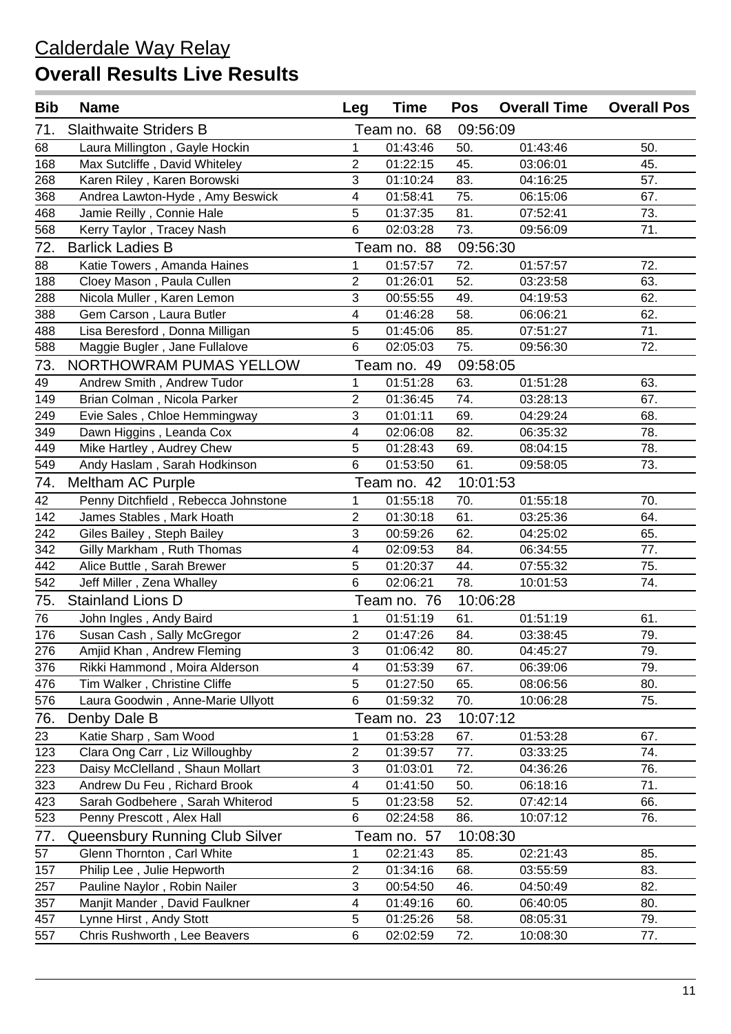| <b>Bib</b> | <b>Name</b>                         | Leg                       | <b>Time</b> | <b>Pos</b> | <b>Overall Time</b> | <b>Overall Pos</b> |
|------------|-------------------------------------|---------------------------|-------------|------------|---------------------|--------------------|
| 71.        | <b>Slaithwaite Striders B</b>       |                           | Team no. 68 | 09:56:09   |                     |                    |
| 68         | Laura Millington, Gayle Hockin      | 1                         | 01:43:46    | 50.        | 01:43:46            | 50.                |
| 168        | Max Sutcliffe, David Whiteley       | $\overline{2}$            | 01:22:15    | 45.        | 03:06:01            | 45.                |
| 268        | Karen Riley, Karen Borowski         | 3                         | 01:10:24    | 83.        | 04:16:25            | 57.                |
| 368        | Andrea Lawton-Hyde, Amy Beswick     | 4                         | 01:58:41    | 75.        | 06:15:06            | 67.                |
| 468        | Jamie Reilly, Connie Hale           | 5                         | 01:37:35    | 81.        | 07:52:41            | 73.                |
| 568        | Kerry Taylor, Tracey Nash           | $6\phantom{1}$            | 02:03:28    | 73.        | 09:56:09            | 71.                |
| 72.        | <b>Barlick Ladies B</b>             |                           | Team no. 88 | 09:56:30   |                     |                    |
| 88         | Katie Towers, Amanda Haines         | 1                         | 01:57:57    | 72.        | 01:57:57            | 72.                |
| 188        | Cloey Mason, Paula Cullen           | $\overline{2}$            | 01:26:01    | 52.        | 03:23:58            | 63.                |
| 288        | Nicola Muller, Karen Lemon          | 3                         | 00:55:55    | 49.        | 04:19:53            | 62.                |
| 388        | Gem Carson, Laura Butler            | 4                         | 01:46:28    | 58.        | 06:06:21            | 62.                |
| 488        | Lisa Beresford, Donna Milligan      | 5                         | 01:45:06    | 85.        | 07:51:27            | 71.                |
| 588        | Maggie Bugler, Jane Fullalove       | $6\phantom{1}$            | 02:05:03    | 75.        | 09:56:30            | 72.                |
| 73.        | NORTHOWRAM PUMAS YELLOW             |                           | Team no. 49 | 09:58:05   |                     |                    |
| 49         | Andrew Smith, Andrew Tudor          | 1                         | 01:51:28    | 63.        | 01:51:28            | 63.                |
| 149        | Brian Colman, Nicola Parker         | $\overline{2}$            | 01:36:45    | 74.        | 03:28:13            | 67.                |
| 249        | Evie Sales, Chloe Hemmingway        | 3                         | 01:01:11    | 69.        | 04:29:24            | 68.                |
| 349        | Dawn Higgins, Leanda Cox            | 4                         | 02:06:08    | 82.        | 06:35:32            | 78.                |
| 449        | Mike Hartley, Audrey Chew           | 5                         | 01:28:43    | 69.        | 08:04:15            | 78.                |
| 549        | Andy Haslam, Sarah Hodkinson        | 6                         | 01:53:50    | 61.        | 09:58:05            | 73.                |
| 74.        | Meltham AC Purple                   |                           | Team no. 42 | 10:01:53   |                     |                    |
| 42         | Penny Ditchfield, Rebecca Johnstone | $\mathbf{1}$              | 01:55:18    | 70.        | 01:55:18            | 70.                |
| 142        | James Stables, Mark Hoath           | $\overline{2}$            | 01:30:18    | 61.        | 03:25:36            | 64.                |
| 242        | Giles Bailey, Steph Bailey          | 3                         | 00:59:26    | 62.        | 04:25:02            | 65.                |
| 342        | Gilly Markham, Ruth Thomas          | 4                         | 02:09:53    | 84.        | 06:34:55            | 77.                |
| 442        | Alice Buttle, Sarah Brewer          | 5                         | 01:20:37    | 44.        | 07:55:32            | 75.                |
| 542        | Jeff Miller, Zena Whalley           | 6                         | 02:06:21    | 78.        | 10:01:53            | 74.                |
| 75.        | <b>Stainland Lions D</b>            |                           | Team no. 76 | 10:06:28   |                     |                    |
| 76         | John Ingles, Andy Baird             | $\mathbf{1}$              | 01:51:19    | 61.        | 01:51:19            | 61.                |
| 176        | Susan Cash, Sally McGregor          | $\overline{2}$            | 01:47:26    | 84.        | 03:38:45            | 79.                |
| 276        | Amjid Khan, Andrew Fleming          | $\ensuremath{\mathsf{3}}$ | 01:06:42    | 80.        | 04:45:27            | 79.                |
| 376        | Rikki Hammond, Moira Alderson       | $\overline{\mathbf{4}}$   | 01:53:39    | 67.        | 06:39:06            | 79.                |
| 476        | Tim Walker, Christine Cliffe        | 5                         | 01:27:50    | 65.        | 08:06:56            | 80.                |
| 576        | Laura Goodwin, Anne-Marie Ullyott   | 6                         | 01:59:32    | 70.        | 10:06:28            | 75.                |
| 76.        | Denby Dale B                        |                           | Team no. 23 |            | 10:07:12            |                    |
| 23         | Katie Sharp, Sam Wood               | 1                         | 01:53:28    | 67.        | 01:53:28            | 67.                |
| 123        | Clara Ong Carr, Liz Willoughby      | $\overline{c}$            | 01:39:57    | 77.        | 03:33:25            | 74.                |
| 223        | Daisy McClelland, Shaun Mollart     | $\ensuremath{\mathsf{3}}$ | 01:03:01    | 72.        | 04:36:26            | 76.                |
| 323        | Andrew Du Feu, Richard Brook        | 4                         | 01:41:50    | 50.        | 06:18:16            | 71.                |
| 423        | Sarah Godbehere, Sarah Whiterod     | 5                         | 01:23:58    | 52.        | 07:42:14            | 66.                |
| 523        | Penny Prescott, Alex Hall           | 6                         | 02:24:58    | 86.        | 10:07:12            | 76.                |
| 77.        | Queensbury Running Club Silver      |                           | Team no. 57 | 10:08:30   |                     |                    |
| 57         | Glenn Thornton, Carl White          | 1                         | 02:21:43    | 85.        | 02:21:43            | 85.                |
| 157        | Philip Lee, Julie Hepworth          | $\mathbf{2}$              | 01:34:16    | 68.        | 03:55:59            | 83.                |
| 257        | Pauline Naylor, Robin Nailer        | $\sqrt{3}$                | 00:54:50    | 46.        | 04:50:49            | 82.                |
| 357        | Manjit Mander, David Faulkner       | $\overline{\mathbf{4}}$   | 01:49:16    | 60.        | 06:40:05            | 80.                |
| 457        | Lynne Hirst, Andy Stott             | 5                         | 01:25:26    | 58.        | 08:05:31            | 79.                |
| 557        | Chris Rushworth, Lee Beavers        | $\,6$                     | 02:02:59    | 72.        | 10:08:30            | 77.                |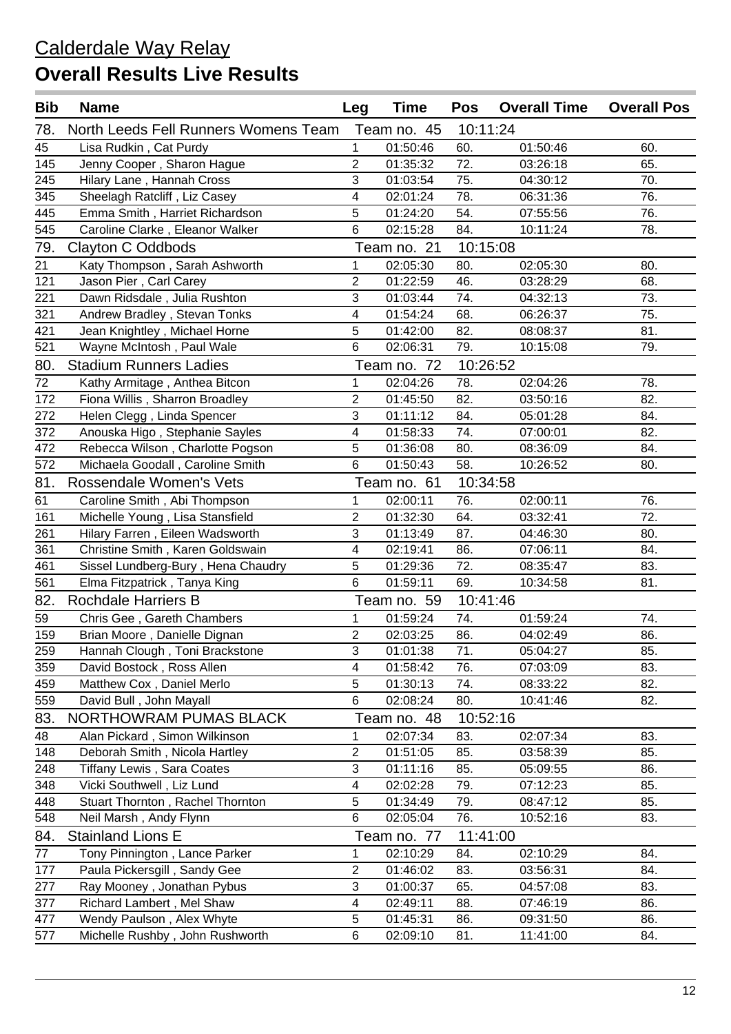| <b>Bib</b> | <b>Name</b>                          | Leg                       | <b>Time</b> | <b>Pos</b>        | <b>Overall Time</b> | <b>Overall Pos</b> |
|------------|--------------------------------------|---------------------------|-------------|-------------------|---------------------|--------------------|
| 78.        | North Leeds Fell Runners Womens Team |                           | Team no. 45 | 10:11:24          |                     |                    |
| 45         | Lisa Rudkin, Cat Purdy               | $\mathbf{1}$              | 01:50:46    | 60.               | 01:50:46            | 60.                |
| 145        | Jenny Cooper, Sharon Hague           | $\overline{2}$            | 01:35:32    | 72.               | 03:26:18            | 65.                |
| 245        | Hilary Lane, Hannah Cross            | $\mathbf{3}$              | 01:03:54    | 75.               | 04:30:12            | 70.                |
| 345        | Sheelagh Ratcliff, Liz Casey         | 4                         | 02:01:24    | 78.               | 06:31:36            | 76.                |
| 445        | Emma Smith, Harriet Richardson       | 5                         | 01:24:20    | 54.               | 07:55:56            | 76.                |
| 545        | Caroline Clarke, Eleanor Walker      | $6\phantom{1}$            | 02:15:28    | 84.               | 10:11:24            | 78.                |
| 79.        | Clayton C Oddbods                    |                           | Team no. 21 | 10:15:08          |                     |                    |
| 21         | Katy Thompson, Sarah Ashworth        | $\mathbf{1}$              | 02:05:30    | 80.               | 02:05:30            | 80.                |
| 121        | Jason Pier, Carl Carey               | 2                         | 01:22:59    | 46.               | 03:28:29            | 68.                |
| 221        | Dawn Ridsdale, Julia Rushton         | $\overline{3}$            | 01:03:44    | 74.               | 04:32:13            | 73.                |
| 321        | Andrew Bradley, Stevan Tonks         | 4                         | 01:54:24    | 68.               | 06:26:37            | 75.                |
| 421        | Jean Knightley, Michael Horne        | 5                         | 01:42:00    | 82.               | 08:08:37            | 81.                |
| 521        | Wayne McIntosh, Paul Wale            | $6\phantom{1}$            | 02:06:31    | 79.               | 10:15:08            | 79.                |
| 80.        | <b>Stadium Runners Ladies</b>        |                           | Team no. 72 | 10:26:52          |                     |                    |
| 72         | Kathy Armitage, Anthea Bitcon        | 1                         | 02:04:26    | 78.               | 02:04:26            | 78.                |
| 172        | Fiona Willis, Sharron Broadley       | 2                         | 01:45:50    | 82.               | 03:50:16            | 82.                |
| 272        | Helen Clegg, Linda Spencer           | 3                         | 01:11:12    | 84.               | 05:01:28            | 84.                |
| 372        | Anouska Higo, Stephanie Sayles       | 4                         | 01:58:33    | 74.               | 07:00:01            | 82.                |
| 472        | Rebecca Wilson, Charlotte Pogson     | 5                         | 01:36:08    | 80.               | 08:36:09            | 84.                |
| 572        | Michaela Goodall, Caroline Smith     | 6                         | 01:50:43    | 58.               | 10:26:52            | 80.                |
| 81.        | <b>Rossendale Women's Vets</b>       |                           | Team no. 61 | 10:34:58          |                     |                    |
| 61         | Caroline Smith, Abi Thompson         | 1                         | 02:00:11    | 76.               | 02:00:11            | 76.                |
| 161        | Michelle Young, Lisa Stansfield      | 2                         | 01:32:30    | 64.               | 03:32:41            | 72.                |
| 261        | Hilary Farren, Eileen Wadsworth      | 3                         | 01:13:49    | 87.               | 04:46:30            | 80.                |
| 361        | Christine Smith, Karen Goldswain     | 4                         | 02:19:41    | 86.               | 07:06:11            | 84.                |
| 461        | Sissel Lundberg-Bury, Hena Chaudry   | 5                         | 01:29:36    | 72.               | 08:35:47            | 83.                |
| 561        | Elma Fitzpatrick, Tanya King         | $6\phantom{1}$            | 01:59:11    | 69.               | 10:34:58            | 81.                |
| 82.        | <b>Rochdale Harriers B</b>           |                           | Team no. 59 | 10:41:46          |                     |                    |
| 59         | Chris Gee, Gareth Chambers           | $\mathbf{1}$              | 01:59:24    | 74.               | 01:59:24            | 74.                |
| 159        | Brian Moore, Danielle Dignan         | $\overline{2}$            | 02:03:25    | 86.               | 04:02:49            | 86.                |
| 259        | Hannah Clough, Toni Brackstone       | 3                         | 01:01:38    | $\overline{71}$ . | 05:04:27            | 85.                |
| 359        | David Bostock, Ross Allen            | $\overline{4}$            | 01:58:42    | 76.               | 07:03:09            | 83.                |
| 459        | Matthew Cox, Daniel Merlo            | $\overline{5}$            | 01:30:13    | 74.               | 08:33:22            | 82.                |
| 559        | David Bull, John Mayall              | $6\phantom{1}$            | 02:08:24    | 80.               | 10:41:46            | 82.                |
| 83.        | NORTHOWRAM PUMAS BLACK               |                           | Team no. 48 | 10:52:16          |                     |                    |
| 48         | Alan Pickard, Simon Wilkinson        | 1                         | 02:07:34    | 83.               | 02:07:34            | 83.                |
| 148        | Deborah Smith, Nicola Hartley        | $\overline{c}$            | 01:51:05    | 85.               | 03:58:39            | 85.                |
| 248        | Tiffany Lewis, Sara Coates           | $\ensuremath{\mathsf{3}}$ | 01:11:16    | 85.               | 05:09:55            | 86.                |
| 348        | Vicki Southwell, Liz Lund            | $\overline{4}$            | 02:02:28    | 79.               | 07:12:23            | 85.                |
| 448        | Stuart Thornton, Rachel Thornton     | 5                         | 01:34:49    | 79.               | 08:47:12            | 85.                |
| 548        | Neil Marsh, Andy Flynn               | $6\phantom{1}$            | 02:05:04    | 76.               | 10:52:16            | 83.                |
| 84.        | <b>Stainland Lions E</b>             |                           | Team no. 77 | 11:41:00          |                     |                    |
| 77         | Tony Pinnington, Lance Parker        | 1                         | 02:10:29    | 84.               | 02:10:29            | 84.                |
| 177        | Paula Pickersgill, Sandy Gee         | $\sqrt{2}$                | 01:46:02    | 83.               | 03:56:31            | 84.                |
| 277        | Ray Mooney, Jonathan Pybus           | $\sqrt{3}$                | 01:00:37    | 65.               | 04:57:08            | 83.                |
| 377        | Richard Lambert, Mel Shaw            | $\overline{4}$            | 02:49:11    | 88.               | 07:46:19            | 86.                |
| 477        | Wendy Paulson, Alex Whyte            | 5                         | 01:45:31    | 86.               | 09:31:50            | 86.                |
| 577        | Michelle Rushby, John Rushworth      | $\,6$                     | 02:09:10    | 81.               | 11:41:00            | 84.                |